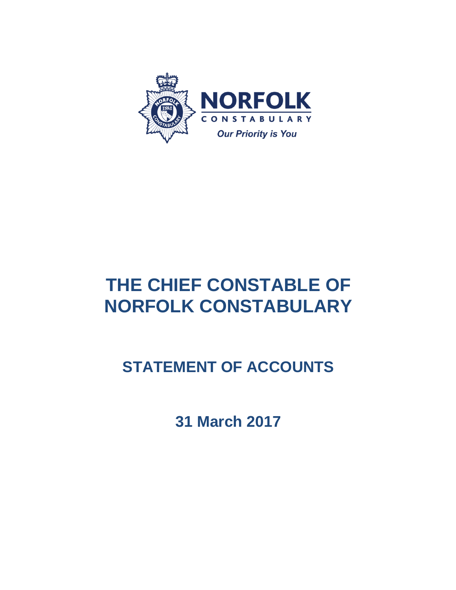

# **THE CHIEF CONSTABLE OF NORFOLK CONSTABULARY**

# **STATEMENT OF ACCOUNTS**

**31 March 2017**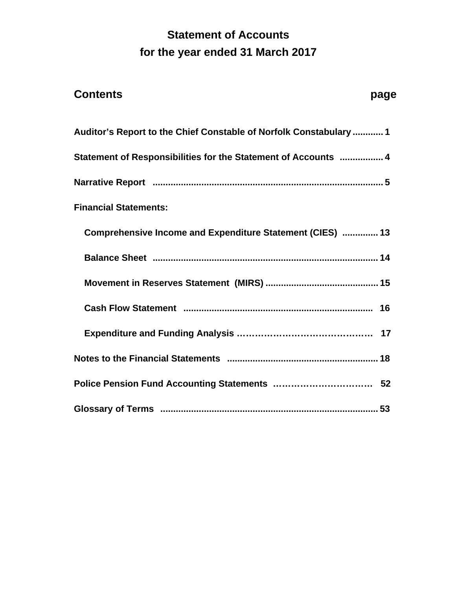# **Statement of Accounts for the year ended 31 March 2017**

| <b>Contents</b><br>page                                            |  |
|--------------------------------------------------------------------|--|
| Auditor's Report to the Chief Constable of Norfolk Constabulary  1 |  |
| Statement of Responsibilities for the Statement of Accounts  4     |  |
|                                                                    |  |
| <b>Financial Statements:</b>                                       |  |
| Comprehensive Income and Expenditure Statement (CIES)  13          |  |
|                                                                    |  |
|                                                                    |  |
|                                                                    |  |
|                                                                    |  |
|                                                                    |  |
|                                                                    |  |
|                                                                    |  |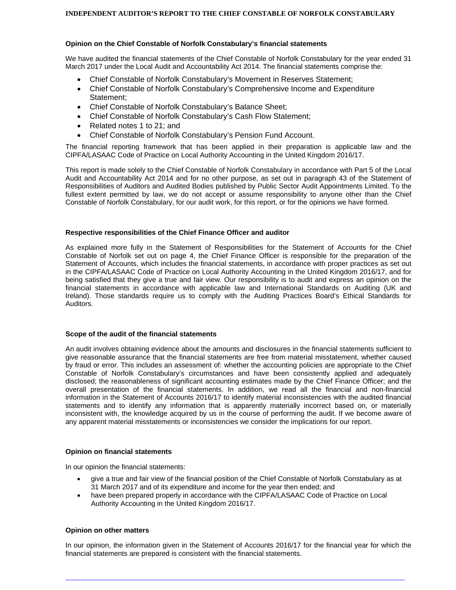#### **Opinion on the Chief Constable of Norfolk Constabulary's financial statements**

We have audited the financial statements of the Chief Constable of Norfolk Constabulary for the year ended 31 March 2017 under the Local Audit and Accountability Act 2014. The financial statements comprise the:

- Chief Constable of Norfolk Constabulary's Movement in Reserves Statement;
- Chief Constable of Norfolk Constabulary's Comprehensive Income and Expenditure Statement;
- Chief Constable of Norfolk Constabulary's Balance Sheet;
- Chief Constable of Norfolk Constabulary's Cash Flow Statement;
- Related notes 1 to 21; and
- Chief Constable of Norfolk Constabulary's Pension Fund Account.

The financial reporting framework that has been applied in their preparation is applicable law and the CIPFA/LASAAC Code of Practice on Local Authority Accounting in the United Kingdom 2016/17.

This report is made solely to the Chief Constable of Norfolk Constabulary in accordance with Part 5 of the Local Audit and Accountability Act 2014 and for no other purpose, as set out in paragraph 43 of the Statement of Responsibilities of Auditors and Audited Bodies published by Public Sector Audit Appointments Limited. To the fullest extent permitted by law, we do not accept or assume responsibility to anyone other than the Chief Constable of Norfolk Constabulary, for our audit work, for this report, or for the opinions we have formed.

#### **Respective responsibilities of the Chief Finance Officer and auditor**

As explained more fully in the Statement of Responsibilities for the Statement of Accounts for the Chief Constable of Norfolk set out on page 4, the Chief Finance Officer is responsible for the preparation of the Statement of Accounts, which includes the financial statements, in accordance with proper practices as set out in the CIPFA/LASAAC Code of Practice on Local Authority Accounting in the United Kingdom 2016/17, and for being satisfied that they give a true and fair view. Our responsibility is to audit and express an opinion on the financial statements in accordance with applicable law and International Standards on Auditing (UK and Ireland). Those standards require us to comply with the Auditing Practices Board's Ethical Standards for Auditors.

#### **Scope of the audit of the financial statements**

An audit involves obtaining evidence about the amounts and disclosures in the financial statements sufficient to give reasonable assurance that the financial statements are free from material misstatement, whether caused by fraud or error. This includes an assessment of: whether the accounting policies are appropriate to the Chief Constable of Norfolk Constabulary's circumstances and have been consistently applied and adequately disclosed; the reasonableness of significant accounting estimates made by the Chief Finance Officer; and the overall presentation of the financial statements. In addition, we read all the financial and non-financial information in the Statement of Accounts 2016/17 to identify material inconsistencies with the audited financial statements and to identify any information that is apparently materially incorrect based on, or materially inconsistent with, the knowledge acquired by us in the course of performing the audit. If we become aware of any apparent material misstatements or inconsistencies we consider the implications for our report.

#### **Opinion on financial statements**

In our opinion the financial statements:

- give a true and fair view of the financial position of the Chief Constable of Norfolk Constabulary as at 31 March 2017 and of its expenditure and income for the year then ended; and
- have been prepared properly in accordance with the CIPFA/LASAAC Code of Practice on Local Authority Accounting in the United Kingdom 2016/17.

#### **Opinion on other matters**

In our opinion, the information given in the Statement of Accounts 2016/17 for the financial year for which the financial statements are prepared is consistent with the financial statements.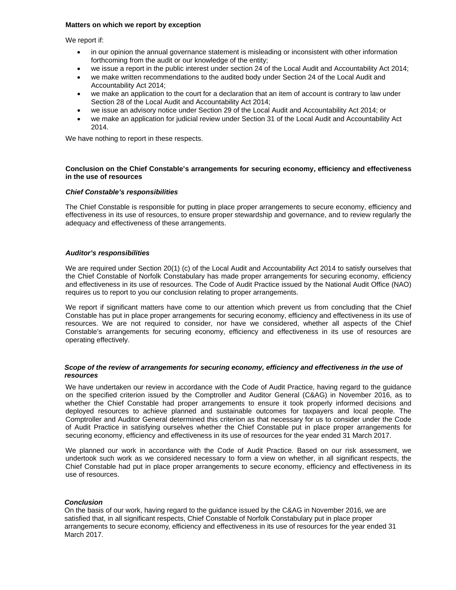#### **Matters on which we report by exception**

We report if:

- in our opinion the annual governance statement is misleading or inconsistent with other information forthcoming from the audit or our knowledge of the entity;
- we issue a report in the public interest under section 24 of the Local Audit and Accountability Act 2014;
- we make written recommendations to the audited body under Section 24 of the Local Audit and Accountability Act 2014;
- we make an application to the court for a declaration that an item of account is contrary to law under Section 28 of the Local Audit and Accountability Act 2014;
- we issue an advisory notice under Section 29 of the Local Audit and Accountability Act 2014; or
- we make an application for judicial review under Section 31 of the Local Audit and Accountability Act 2014.

We have nothing to report in these respects.

#### **Conclusion on the Chief Constable's arrangements for securing economy, efficiency and effectiveness in the use of resources**

#### *Chief Constable's responsibilities*

The Chief Constable is responsible for putting in place proper arrangements to secure economy, efficiency and effectiveness in its use of resources, to ensure proper stewardship and governance, and to review regularly the adequacy and effectiveness of these arrangements.

#### *Auditor's responsibilities*

We are required under Section 20(1) (c) of the Local Audit and Accountability Act 2014 to satisfy ourselves that the Chief Constable of Norfolk Constabulary has made proper arrangements for securing economy, efficiency and effectiveness in its use of resources. The Code of Audit Practice issued by the National Audit Office (NAO) requires us to report to you our conclusion relating to proper arrangements.

We report if significant matters have come to our attention which prevent us from concluding that the Chief Constable has put in place proper arrangements for securing economy, efficiency and effectiveness in its use of resources. We are not required to consider, nor have we considered, whether all aspects of the Chief Constable's arrangements for securing economy, efficiency and effectiveness in its use of resources are operating effectively.

#### *Scope of the review of arrangements for securing economy, efficiency and effectiveness in the use of resources*

We have undertaken our review in accordance with the Code of Audit Practice, having regard to the guidance on the specified criterion issued by the Comptroller and Auditor General (C&AG) in November 2016, as to whether the Chief Constable had proper arrangements to ensure it took properly informed decisions and deployed resources to achieve planned and sustainable outcomes for taxpayers and local people. The Comptroller and Auditor General determined this criterion as that necessary for us to consider under the Code of Audit Practice in satisfying ourselves whether the Chief Constable put in place proper arrangements for securing economy, efficiency and effectiveness in its use of resources for the year ended 31 March 2017.

We planned our work in accordance with the Code of Audit Practice. Based on our risk assessment, we undertook such work as we considered necessary to form a view on whether, in all significant respects, the Chief Constable had put in place proper arrangements to secure economy, efficiency and effectiveness in its use of resources.

#### *Conclusion*

On the basis of our work, having regard to the guidance issued by the C&AG in November 2016, we are satisfied that, in all significant respects, Chief Constable of Norfolk Constabulary put in place proper arrangements to secure economy, efficiency and effectiveness in its use of resources for the year ended 31 March 2017.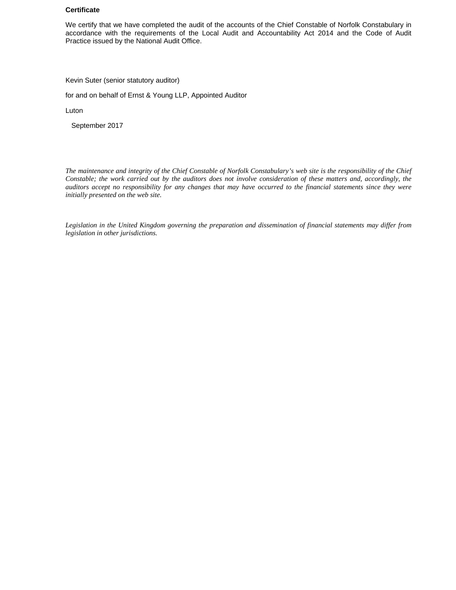#### **Certificate**

We certify that we have completed the audit of the accounts of the Chief Constable of Norfolk Constabulary in accordance with the requirements of the Local Audit and Accountability Act 2014 and the Code of Audit Practice issued by the National Audit Office.

Kevin Suter (senior statutory auditor)

for and on behalf of Ernst & Young LLP, Appointed Auditor

Luton

September 2017

*The maintenance and integrity of the Chief Constable of Norfolk Constabulary's web site is the responsibility of the Chief Constable; the work carried out by the auditors does not involve consideration of these matters and, accordingly, the auditors accept no responsibility for any changes that may have occurred to the financial statements since they were initially presented on the web site.* 

*Legislation in the United Kingdom governing the preparation and dissemination of financial statements may differ from legislation in other jurisdictions.*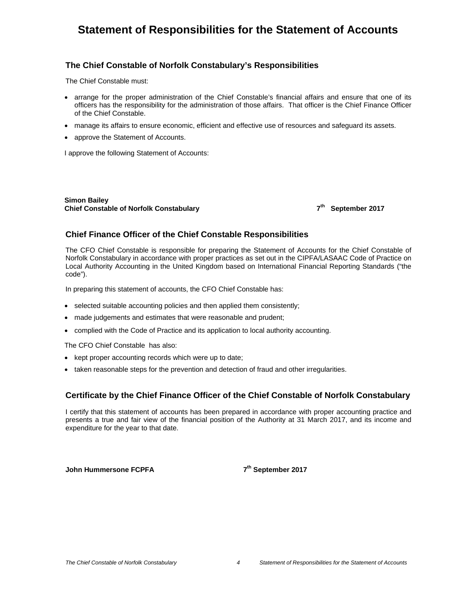### **Statement of Responsibilities for the Statement of Accounts**

### **The Chief Constable of Norfolk Constabulary's Responsibilities**

The Chief Constable must:

- arrange for the proper administration of the Chief Constable's financial affairs and ensure that one of its officers has the responsibility for the administration of those affairs. That officer is the Chief Finance Officer of the Chief Constable.
- manage its affairs to ensure economic, efficient and effective use of resources and safeguard its assets.
- approve the Statement of Accounts.

I approve the following Statement of Accounts:

**Simon Bailey Chief Constable of Norfolk Constabulary 7th September 2017** 

#### **Chief Finance Officer of the Chief Constable Responsibilities**

The CFO Chief Constable is responsible for preparing the Statement of Accounts for the Chief Constable of Norfolk Constabulary in accordance with proper practices as set out in the CIPFA/LASAAC Code of Practice on Local Authority Accounting in the United Kingdom based on International Financial Reporting Standards ("the code").

In preparing this statement of accounts, the CFO Chief Constable has:

- selected suitable accounting policies and then applied them consistently;
- made judgements and estimates that were reasonable and prudent;
- complied with the Code of Practice and its application to local authority accounting.

The CFO Chief Constable has also:

- kept proper accounting records which were up to date;
- taken reasonable steps for the prevention and detection of fraud and other irregularities.

### **Certificate by the Chief Finance Officer of the Chief Constable of Norfolk Constabulary**

I certify that this statement of accounts has been prepared in accordance with proper accounting practice and presents a true and fair view of the financial position of the Authority at 31 March 2017, and its income and expenditure for the year to that date.

**John Hummersone FCPFA** 7<sup>th</sup> September 2017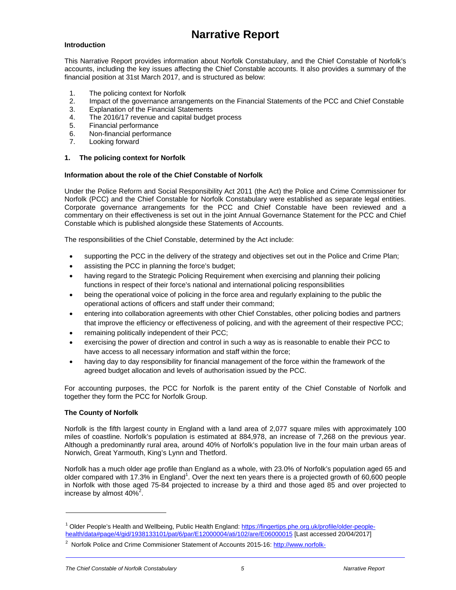## **Narrative Report**

#### **Introduction**

This Narrative Report provides information about Norfolk Constabulary, and the Chief Constable of Norfolk's accounts, including the key issues affecting the Chief Constable accounts. It also provides a summary of the financial position at 31st March 2017, and is structured as below:

- 1. The policing context for Norfolk
- 2. Impact of the governance arrangements on the Financial Statements of the PCC and Chief Constable
- 3. Explanation of the Financial Statements
- 4. The 2016/17 revenue and capital budget process
- 5. Financial performance
- 6. Non-financial performance
- 7. Looking forward

#### **1. The policing context for Norfolk**

#### **Information about the role of the Chief Constable of Norfolk**

Under the Police Reform and Social Responsibility Act 2011 (the Act) the Police and Crime Commissioner for Norfolk (PCC) and the Chief Constable for Norfolk Constabulary were established as separate legal entities. Corporate governance arrangements for the PCC and Chief Constable have been reviewed and a commentary on their effectiveness is set out in the joint Annual Governance Statement for the PCC and Chief Constable which is published alongside these Statements of Accounts.

The responsibilities of the Chief Constable, determined by the Act include:

- supporting the PCC in the delivery of the strategy and objectives set out in the Police and Crime Plan;
- assisting the PCC in planning the force's budget;
- having regard to the Strategic Policing Requirement when exercising and planning their policing functions in respect of their force's national and international policing responsibilities
- being the operational voice of policing in the force area and regularly explaining to the public the operational actions of officers and staff under their command;
- entering into collaboration agreements with other Chief Constables, other policing bodies and partners that improve the efficiency or effectiveness of policing, and with the agreement of their respective PCC;
- remaining politically independent of their PCC;
- exercising the power of direction and control in such a way as is reasonable to enable their PCC to have access to all necessary information and staff within the force;
- having day to day responsibility for financial management of the force within the framework of the agreed budget allocation and levels of authorisation issued by the PCC.

For accounting purposes, the PCC for Norfolk is the parent entity of the Chief Constable of Norfolk and together they form the PCC for Norfolk Group.

#### **The County of Norfolk**

 $\overline{a}$ 

Norfolk is the fifth largest county in England with a land area of 2,077 square miles with approximately 100 miles of coastline. Norfolk's population is estimated at 884,978, an increase of 7,268 on the previous year. Although a predominantly rural area, around 40% of Norfolk's population live in the four main urban areas of Norwich, Great Yarmouth, King's Lynn and Thetford.

Norfolk has a much older age profile than England as a whole, with 23.0% of Norfolk's population aged 65 and older compared with 17.3% in England<sup>1</sup>. Over the next ten years there is a projected growth of 60,600 people in Norfolk with those aged 75-84 projected to increase by a third and those aged 85 and over projected to increase by almost  $40\%^2$ .

<sup>&</sup>lt;sup>1</sup> Older People's Health and Wellbeing, Public Health England: https://fingertips.phe.org.uk/profile/older-peoplehealth/data#page/4/gid/1938133101/pat/6/par/E12000004/ati/102/are/E06000015 [Last accessed 20/04/2017]

<sup>2</sup> Norfolk Police and Crime Commisioner Statement of Accounts 2015-16: http://www.norfolk-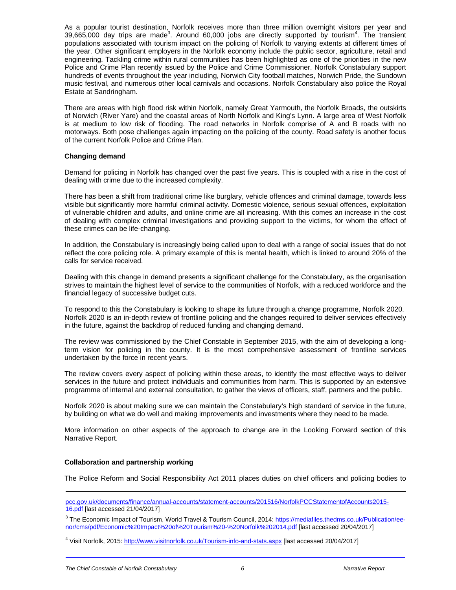As a popular tourist destination, Norfolk receives more than three million overnight visitors per year and 39,665,000 day trips are made<sup>3</sup>. Around 60,000 jobs are directly supported by tourism<sup>4</sup>. The transient populations associated with tourism impact on the policing of Norfolk to varying extents at different times of the year. Other significant employers in the Norfolk economy include the public sector, agriculture, retail and engineering. Tackling crime within rural communities has been highlighted as one of the priorities in the new Police and Crime Plan recently issued by the Police and Crime Commissioner. Norfolk Constabulary support hundreds of events throughout the year including, Norwich City football matches, Norwich Pride, the Sundown music festival, and numerous other local carnivals and occasions. Norfolk Constabulary also police the Royal Estate at Sandringham.

There are areas with high flood risk within Norfolk, namely Great Yarmouth, the Norfolk Broads, the outskirts of Norwich (River Yare) and the coastal areas of North Norfolk and King's Lynn. A large area of West Norfolk is at medium to low risk of flooding. The road networks in Norfolk comprise of A and B roads with no motorways. Both pose challenges again impacting on the policing of the county. Road safety is another focus of the current Norfolk Police and Crime Plan.

#### **Changing demand**

Demand for policing in Norfolk has changed over the past five years. This is coupled with a rise in the cost of dealing with crime due to the increased complexity.

There has been a shift from traditional crime like burglary, vehicle offences and criminal damage, towards less visible but significantly more harmful criminal activity. Domestic violence, serious sexual offences, exploitation of vulnerable children and adults, and online crime are all increasing. With this comes an increase in the cost of dealing with complex criminal investigations and providing support to the victims, for whom the effect of these crimes can be life-changing.

In addition, the Constabulary is increasingly being called upon to deal with a range of social issues that do not reflect the core policing role. A primary example of this is mental health, which is linked to around 20% of the calls for service received.

Dealing with this change in demand presents a significant challenge for the Constabulary, as the organisation strives to maintain the highest level of service to the communities of Norfolk, with a reduced workforce and the financial legacy of successive budget cuts.

To respond to this the Constabulary is looking to shape its future through a change programme, Norfolk 2020. Norfolk 2020 is an in-depth review of frontline policing and the changes required to deliver services effectively in the future, against the backdrop of reduced funding and changing demand.

The review was commissioned by the Chief Constable in September 2015, with the aim of developing a longterm vision for policing in the county. It is the most comprehensive assessment of frontline services undertaken by the force in recent years.

The review covers every aspect of policing within these areas, to identify the most effective ways to deliver services in the future and protect individuals and communities from harm. This is supported by an extensive programme of internal and external consultation, to gather the views of officers, staff, partners and the public.

Norfolk 2020 is about making sure we can maintain the Constabulary's high standard of service in the future, by building on what we do well and making improvements and investments where they need to be made.

More information on other aspects of the approach to change are in the Looking Forward section of this Narrative Report.

#### **Collaboration and partnership working**

-

The Police Reform and Social Responsibility Act 2011 places duties on chief officers and policing bodies to

pcc.gov.uk/documents/finance/annual-accounts/statement-accounts/201516/NorfolkPCCStatementofAccounts2015- 16.pdf [last accessed 21/04/2017]

<sup>3</sup> The Economic Impact of Tourism, World Travel & Tourism Council, 2014: https://mediafiles.thedms.co.uk/Publication/eenor/cms/pdf/Economic%20Impact%20of%20Tourism%20-%20Norfolk%202014.pdf [last accessed 20/04/2017]

<sup>4</sup> Visit Norfolk, 2015: http://www.visitnorfolk.co.uk/Tourism-info-and-stats.aspx [last accessed 20/04/2017]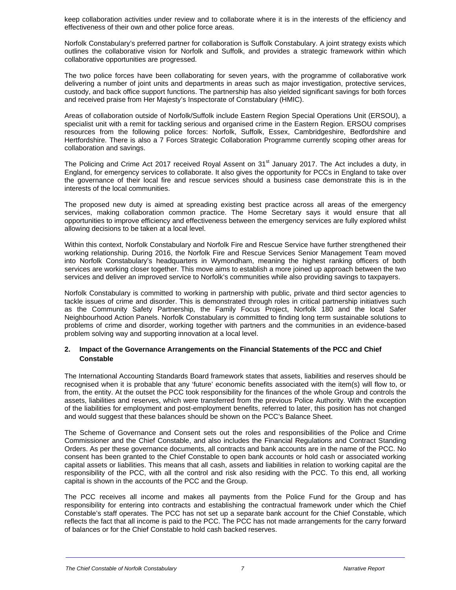keep collaboration activities under review and to collaborate where it is in the interests of the efficiency and effectiveness of their own and other police force areas.

Norfolk Constabulary's preferred partner for collaboration is Suffolk Constabulary. A joint strategy exists which outlines the collaborative vision for Norfolk and Suffolk, and provides a strategic framework within which collaborative opportunities are progressed.

The two police forces have been collaborating for seven years, with the programme of collaborative work delivering a number of joint units and departments in areas such as major investigation, protective services, custody, and back office support functions. The partnership has also yielded significant savings for both forces and received praise from Her Majesty's Inspectorate of Constabulary (HMIC).

Areas of collaboration outside of Norfolk/Suffolk include Eastern Region Special Operations Unit (ERSOU), a specialist unit with a remit for tackling serious and organised crime in the Eastern Region. ERSOU comprises resources from the following police forces: Norfolk, Suffolk, Essex, Cambridgeshire, Bedfordshire and Hertfordshire. There is also a 7 Forces Strategic Collaboration Programme currently scoping other areas for collaboration and savings.

The Policing and Crime Act 2017 received Royal Assent on 31<sup>st</sup> January 2017. The Act includes a duty, in England, for emergency services to collaborate. It also gives the opportunity for PCCs in England to take over the governance of their local fire and rescue services should a business case demonstrate this is in the interests of the local communities.

The proposed new duty is aimed at spreading existing best practice across all areas of the emergency services, making collaboration common practice. The Home Secretary says it would ensure that all opportunities to improve efficiency and effectiveness between the emergency services are fully explored whilst allowing decisions to be taken at a local level.

Within this context, Norfolk Constabulary and Norfolk Fire and Rescue Service have further strengthened their working relationship. During 2016, the Norfolk Fire and Rescue Services Senior Management Team moved into Norfolk Constabulary's headquarters in Wymondham, meaning the highest ranking officers of both services are working closer together. This move aims to establish a more joined up approach between the two services and deliver an improved service to Norfolk's communities while also providing savings to taxpayers.

Norfolk Constabulary is committed to working in partnership with public, private and third sector agencies to tackle issues of crime and disorder. This is demonstrated through roles in critical partnership initiatives such as the Community Safety Partnership, the Family Focus Project, Norfolk 180 and the local Safer Neighbourhood Action Panels. Norfolk Constabulary is committed to finding long term sustainable solutions to problems of crime and disorder, working together with partners and the communities in an evidence-based problem solving way and supporting innovation at a local level.

#### **2. Impact of the Governance Arrangements on the Financial Statements of the PCC and Chief Constable**

The International Accounting Standards Board framework states that assets, liabilities and reserves should be recognised when it is probable that any 'future' economic benefits associated with the item(s) will flow to, or from, the entity. At the outset the PCC took responsibility for the finances of the whole Group and controls the assets, liabilities and reserves, which were transferred from the previous Police Authority. With the exception of the liabilities for employment and post-employment benefits, referred to later, this position has not changed and would suggest that these balances should be shown on the PCC's Balance Sheet.

The Scheme of Governance and Consent sets out the roles and responsibilities of the Police and Crime Commissioner and the Chief Constable, and also includes the Financial Regulations and Contract Standing Orders. As per these governance documents, all contracts and bank accounts are in the name of the PCC. No consent has been granted to the Chief Constable to open bank accounts or hold cash or associated working capital assets or liabilities. This means that all cash, assets and liabilities in relation to working capital are the responsibility of the PCC, with all the control and risk also residing with the PCC. To this end, all working capital is shown in the accounts of the PCC and the Group.

The PCC receives all income and makes all payments from the Police Fund for the Group and has responsibility for entering into contracts and establishing the contractual framework under which the Chief Constable's staff operates. The PCC has not set up a separate bank account for the Chief Constable, which reflects the fact that all income is paid to the PCC. The PCC has not made arrangements for the carry forward of balances or for the Chief Constable to hold cash backed reserves.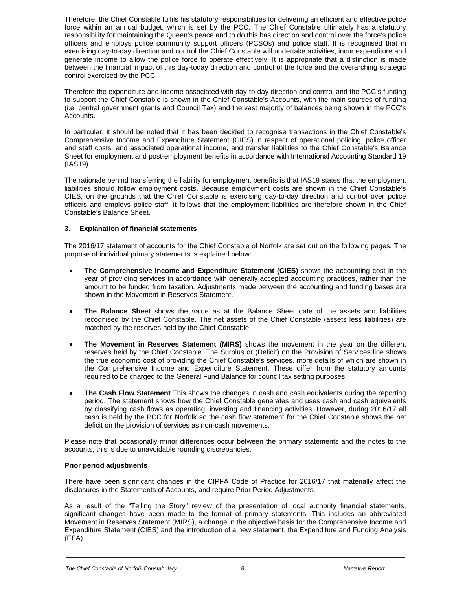Therefore, the Chief Constable fulfils his statutory responsibilities for delivering an efficient and effective police force within an annual budget, which is set by the PCC. The Chief Constable ultimately has a statutory responsibility for maintaining the Queen's peace and to do this has direction and control over the force's police officers and employs police community support officers (PCSOs) and police staff. It is recognised that in exercising day-to-day direction and control the Chief Constable will undertake activities, incur expenditure and generate income to allow the police force to operate effectively. It is appropriate that a distinction is made between the financial impact of this day-today direction and control of the force and the overarching strategic control exercised by the PCC.

Therefore the expenditure and income associated with day-to-day direction and control and the PCC's funding to support the Chief Constable is shown in the Chief Constable's Accounts, with the main sources of funding (i.e. central government grants and Council Tax) and the vast majority of balances being shown in the PCC's Accounts.

In particular, it should be noted that it has been decided to recognise transactions in the Chief Constable's Comprehensive Income and Expenditure Statement (CIES) in respect of operational policing, police officer and staff costs, and associated operational income, and transfer liabilities to the Chief Constable's Balance Sheet for employment and post-employment benefits in accordance with International Accounting Standard 19 (IAS19).

The rationale behind transferring the liability for employment benefits is that IAS19 states that the employment liabilities should follow employment costs. Because employment costs are shown in the Chief Constable's CIES, on the grounds that the Chief Constable is exercising day-to-day direction and control over police officers and employs police staff, it follows that the employment liabilities are therefore shown in the Chief Constable's Balance Sheet.

#### **3. Explanation of financial statements**

The 2016/17 statement of accounts for the Chief Constable of Norfolk are set out on the following pages. The purpose of individual primary statements is explained below:

- **The Comprehensive Income and Expenditure Statement (CIES)** shows the accounting cost in the year of providing services in accordance with generally accepted accounting practices, rather than the amount to be funded from taxation. Adjustments made between the accounting and funding bases are shown in the Movement in Reserves Statement.
- **The Balance Sheet** shows the value as at the Balance Sheet date of the assets and liabilities recognised by the Chief Constable. The net assets of the Chief Constable (assets less liabilities) are matched by the reserves held by the Chief Constable.
- **The Movement in Reserves Statement (MIRS)** shows the movement in the year on the different reserves held by the Chief Constable. The Surplus or (Deficit) on the Provision of Services line shows the true economic cost of providing the Chief Constable's services, more details of which are shown in the Comprehensive Income and Expenditure Statement. These differ from the statutory amounts required to be charged to the General Fund Balance for council tax setting purposes.
- **The Cash Flow Statement** This shows the changes in cash and cash equivalents during the reporting period. The statement shows how the Chief Constable generates and uses cash and cash equivalents by classifying cash flows as operating, investing and financing activities. However, during 2016/17 all cash is held by the PCC for Norfolk so the cash flow statement for the Chief Constable shows the net deficit on the provision of services as non-cash movements.

Please note that occasionally minor differences occur between the primary statements and the notes to the accounts, this is due to unavoidable rounding discrepancies.

#### **Prior period adjustments**

There have been significant changes in the CIPFA Code of Practice for 2016/17 that materially affect the disclosures in the Statements of Accounts, and require Prior Period Adjustments.

As a result of the "Telling the Story" review of the presentation of local authority financial statements, significant changes have been made to the format of primary statements. This includes an abbreviated Movement in Reserves Statement (MIRS), a change in the objective basis for the Comprehensive Income and Expenditure Statement (CIES) and the introduction of a new statement, the Expenditure and Funding Analysis (EFA).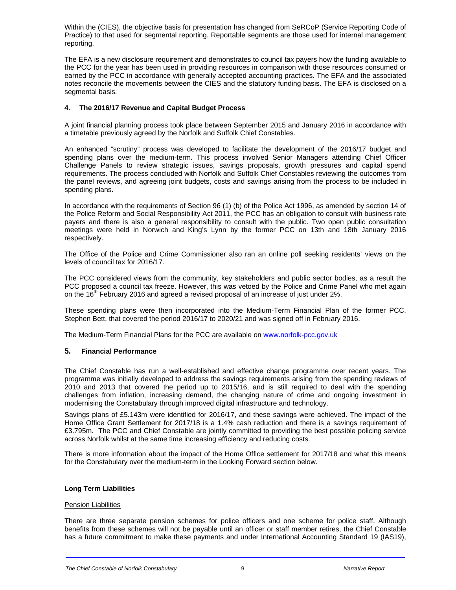Within the (CIES), the objective basis for presentation has changed from SeRCoP (Service Reporting Code of Practice) to that used for segmental reporting. Reportable segments are those used for internal management reporting.

The EFA is a new disclosure requirement and demonstrates to council tax payers how the funding available to the PCC for the year has been used in providing resources in comparison with those resources consumed or earned by the PCC in accordance with generally accepted accounting practices. The EFA and the associated notes reconcile the movements between the CIES and the statutory funding basis. The EFA is disclosed on a segmental basis.

#### **4. The 2016/17 Revenue and Capital Budget Process**

A joint financial planning process took place between September 2015 and January 2016 in accordance with a timetable previously agreed by the Norfolk and Suffolk Chief Constables.

An enhanced "scrutiny" process was developed to facilitate the development of the 2016/17 budget and spending plans over the medium-term. This process involved Senior Managers attending Chief Officer Challenge Panels to review strategic issues, savings proposals, growth pressures and capital spend requirements. The process concluded with Norfolk and Suffolk Chief Constables reviewing the outcomes from the panel reviews, and agreeing joint budgets, costs and savings arising from the process to be included in spending plans.

In accordance with the requirements of Section 96 (1) (b) of the Police Act 1996, as amended by section 14 of the Police Reform and Social Responsibility Act 2011, the PCC has an obligation to consult with business rate payers and there is also a general responsibility to consult with the public. Two open public consultation meetings were held in Norwich and King's Lynn by the former PCC on 13th and 18th January 2016 respectively.

The Office of the Police and Crime Commissioner also ran an online poll seeking residents' views on the levels of council tax for 2016/17.

The PCC considered views from the community, key stakeholders and public sector bodies, as a result the PCC proposed a council tax freeze. However, this was vetoed by the Police and Crime Panel who met again on the 16<sup>th</sup> February 2016 and agreed a revised proposal of an increase of just under 2%.

These spending plans were then incorporated into the Medium-Term Financial Plan of the former PCC, Stephen Bett, that covered the period 2016/17 to 2020/21 and was signed off in February 2016.

The Medium-Term Financial Plans for the PCC are available on www.norfolk-pcc.gov.uk

#### **5. Financial Performance**

The Chief Constable has run a well-established and effective change programme over recent years. The programme was initially developed to address the savings requirements arising from the spending reviews of 2010 and 2013 that covered the period up to 2015/16, and is still required to deal with the spending challenges from inflation, increasing demand, the changing nature of crime and ongoing investment in modernising the Constabulary through improved digital infrastructure and technology.

Savings plans of £5.143m were identified for 2016/17, and these savings were achieved. The impact of the Home Office Grant Settlement for 2017/18 is a 1.4% cash reduction and there is a savings requirement of £3.795m. The PCC and Chief Constable are jointly committed to providing the best possible policing service across Norfolk whilst at the same time increasing efficiency and reducing costs.

There is more information about the impact of the Home Office settlement for 2017/18 and what this means for the Constabulary over the medium-term in the Looking Forward section below.

#### **Long Term Liabilities**

#### Pension Liabilities

There are three separate pension schemes for police officers and one scheme for police staff. Although benefits from these schemes will not be payable until an officer or staff member retires, the Chief Constable has a future commitment to make these payments and under International Accounting Standard 19 (IAS19),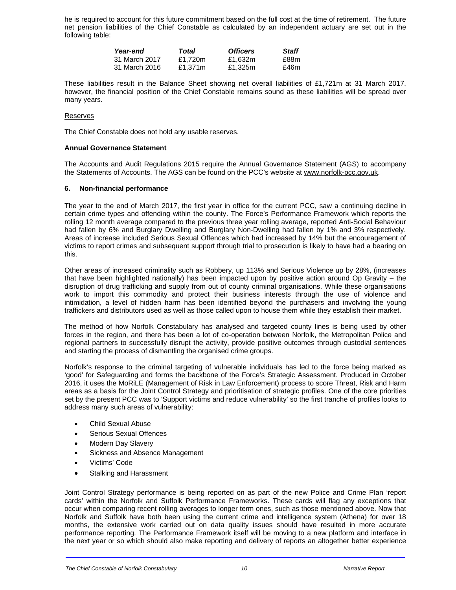he is required to account for this future commitment based on the full cost at the time of retirement. The future net pension liabilities of the Chief Constable as calculated by an independent actuary are set out in the following table:

| Year-end      | Total   | <b>Officers</b> | Staff |
|---------------|---------|-----------------|-------|
| 31 March 2017 | £1.720m | £1.632m         | £88m  |
| 31 March 2016 | £1.371m | £1.325m         | £46m  |

These liabilities result in the Balance Sheet showing net overall liabilities of £1,721m at 31 March 2017, however, the financial position of the Chief Constable remains sound as these liabilities will be spread over many years.

#### Reserves

The Chief Constable does not hold any usable reserves.

#### **Annual Governance Statement**

The Accounts and Audit Regulations 2015 require the Annual Governance Statement (AGS) to accompany the Statements of Accounts. The AGS can be found on the PCC's website at www.norfolk-pcc.gov.uk.

#### **6. Non-financial performance**

The year to the end of March 2017, the first year in office for the current PCC, saw a continuing decline in certain crime types and offending within the county. The Force's Performance Framework which reports the rolling 12 month average compared to the previous three year rolling average, reported Anti-Social Behaviour had fallen by 6% and Burglary Dwelling and Burglary Non-Dwelling had fallen by 1% and 3% respectively. Areas of increase included Serious Sexual Offences which had increased by 14% but the encouragement of victims to report crimes and subsequent support through trial to prosecution is likely to have had a bearing on this.

Other areas of increased criminality such as Robbery, up 113% and Serious Violence up by 28%, (increases that have been highlighted nationally) has been impacted upon by positive action around Op Gravity – the disruption of drug trafficking and supply from out of county criminal organisations. While these organisations work to import this commodity and protect their business interests through the use of violence and intimidation, a level of hidden harm has been identified beyond the purchasers and involving the young traffickers and distributors used as well as those called upon to house them while they establish their market.

The method of how Norfolk Constabulary has analysed and targeted county lines is being used by other forces in the region, and there has been a lot of co-operation between Norfolk, the Metropolitan Police and regional partners to successfully disrupt the activity, provide positive outcomes through custodial sentences and starting the process of dismantling the organised crime groups.

Norfolk's response to the criminal targeting of vulnerable individuals has led to the force being marked as 'good' for Safeguarding and forms the backbone of the Force's Strategic Assessment. Produced in October 2016, it uses the MoRiLE (Management of Risk in Law Enforcement) process to score Threat, Risk and Harm areas as a basis for the Joint Control Strategy and prioritisation of strategic profiles. One of the core priorities set by the present PCC was to 'Support victims and reduce vulnerability' so the first tranche of profiles looks to address many such areas of vulnerability:

- Child Sexual Abuse
- Serious Sexual Offences
- Modern Day Slavery
- Sickness and Absence Management
- Victims' Code
- Stalking and Harassment

Joint Control Strategy performance is being reported on as part of the new Police and Crime Plan 'report cards' within the Norfolk and Suffolk Performance Frameworks. These cards will flag any exceptions that occur when comparing recent rolling averages to longer term ones, such as those mentioned above. Now that Norfolk and Suffolk have both been using the current crime and intelligence system (Athena) for over 18 months, the extensive work carried out on data quality issues should have resulted in more accurate performance reporting. The Performance Framework itself will be moving to a new platform and interface in the next year or so which should also make reporting and delivery of reports an altogether better experience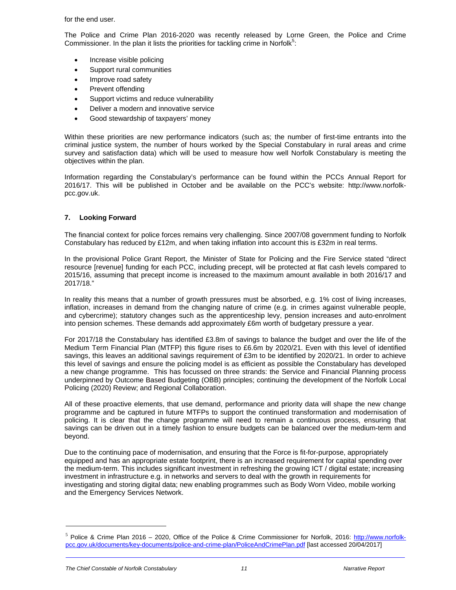for the end user.

The Police and Crime Plan 2016-2020 was recently released by Lorne Green, the Police and Crime Commissioner. In the plan it lists the priorities for tackling crime in Norfolk $5$ :

- Increase visible policing
- Support rural communities
- Improve road safety
- Prevent offending
- Support victims and reduce vulnerability
- Deliver a modern and innovative service
- Good stewardship of taxpayers' money

Within these priorities are new performance indicators (such as; the number of first-time entrants into the criminal justice system, the number of hours worked by the Special Constabulary in rural areas and crime survey and satisfaction data) which will be used to measure how well Norfolk Constabulary is meeting the objectives within the plan.

Information regarding the Constabulary's performance can be found within the PCCs Annual Report for 2016/17. This will be published in October and be available on the PCC's website: http://www.norfolkpcc.gov.uk.

#### **7. Looking Forward**

The financial context for police forces remains very challenging. Since 2007/08 government funding to Norfolk Constabulary has reduced by £12m, and when taking inflation into account this is £32m in real terms.

In the provisional Police Grant Report, the Minister of State for Policing and the Fire Service stated "direct resource [revenue] funding for each PCC, including precept, will be protected at flat cash levels compared to 2015/16, assuming that precept income is increased to the maximum amount available in both 2016/17 and 2017/18."

In reality this means that a number of growth pressures must be absorbed, e.g. 1% cost of living increases, inflation, increases in demand from the changing nature of crime (e.g. in crimes against vulnerable people, and cybercrime); statutory changes such as the apprenticeship levy, pension increases and auto-enrolment into pension schemes. These demands add approximately £6m worth of budgetary pressure a year.

For 2017/18 the Constabulary has identified £3.8m of savings to balance the budget and over the life of the Medium Term Financial Plan (MTFP) this figure rises to £6.6m by 2020/21. Even with this level of identified savings, this leaves an additional savings requirement of £3m to be identified by 2020/21. In order to achieve this level of savings and ensure the policing model is as efficient as possible the Constabulary has developed a new change programme. This has focussed on three strands: the Service and Financial Planning process underpinned by Outcome Based Budgeting (OBB) principles; continuing the development of the Norfolk Local Policing (2020) Review; and Regional Collaboration.

All of these proactive elements, that use demand, performance and priority data will shape the new change programme and be captured in future MTFPs to support the continued transformation and modernisation of policing. It is clear that the change programme will need to remain a continuous process, ensuring that savings can be driven out in a timely fashion to ensure budgets can be balanced over the medium-term and beyond.

Due to the continuing pace of modernisation, and ensuring that the Force is fit-for-purpose, appropriately equipped and has an appropriate estate footprint, there is an increased requirement for capital spending over the medium-term. This includes significant investment in refreshing the growing ICT / digital estate; increasing investment in infrastructure e.g. in networks and servers to deal with the growth in requirements for investigating and storing digital data; new enabling programmes such as Body Worn Video, mobile working and the Emergency Services Network.

 $\overline{a}$ 

 $<sup>5</sup>$  Police & Crime Plan 2016 – 2020, Office of the Police & Crime Commissioner for Norfolk, 2016: http://www.norfolk-</sup> pcc.gov.uk/documents/key-documents/police-and-crime-plan/PoliceAndCrimePlan.pdf [last accessed 20/04/2017]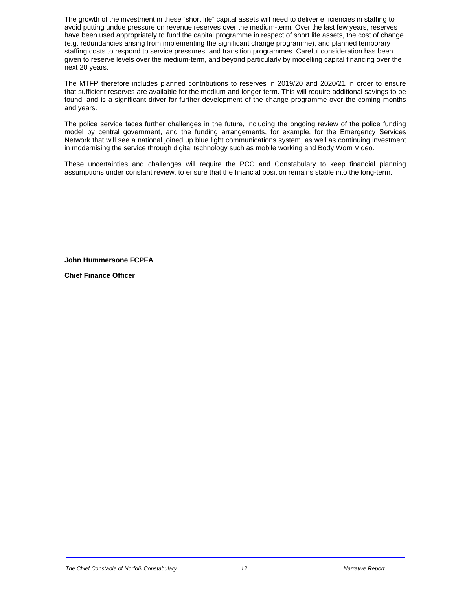The growth of the investment in these "short life" capital assets will need to deliver efficiencies in staffing to avoid putting undue pressure on revenue reserves over the medium-term. Over the last few years, reserves have been used appropriately to fund the capital programme in respect of short life assets, the cost of change (e.g. redundancies arising from implementing the significant change programme), and planned temporary staffing costs to respond to service pressures, and transition programmes. Careful consideration has been given to reserve levels over the medium-term, and beyond particularly by modelling capital financing over the next 20 years.

The MTFP therefore includes planned contributions to reserves in 2019/20 and 2020/21 in order to ensure that sufficient reserves are available for the medium and longer-term. This will require additional savings to be found, and is a significant driver for further development of the change programme over the coming months and years.

The police service faces further challenges in the future, including the ongoing review of the police funding model by central government, and the funding arrangements, for example, for the Emergency Services Network that will see a national joined up blue light communications system, as well as continuing investment in modernising the service through digital technology such as mobile working and Body Worn Video.

These uncertainties and challenges will require the PCC and Constabulary to keep financial planning assumptions under constant review, to ensure that the financial position remains stable into the long-term.

**John Hummersone FCPFA** 

**Chief Finance Officer**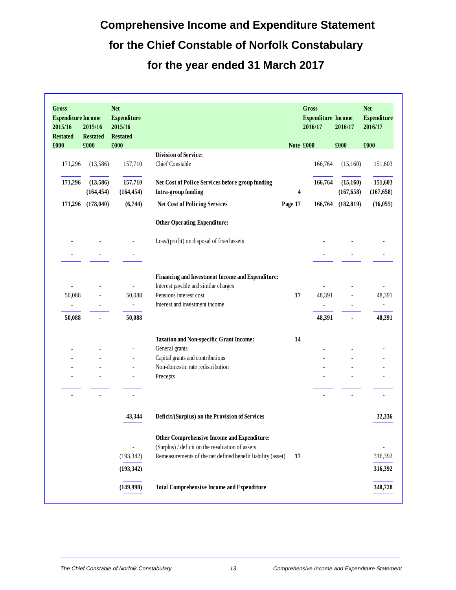# **Comprehensive Income and Expenditure Statement for the Chief Constable of Norfolk Constabulary for the year ended 31 March 2017**

| Gross<br><b>Expenditure Income</b><br>2015/16<br><b>Restated</b> | 2015/16<br><b>Restated</b> | <b>Net</b><br><b>Expenditure</b><br>2015/16<br><b>Restated</b> |                                                                         |         | Gross<br><b>Expenditure Income</b><br>2016/17 | 2016/17                | <b>Net</b><br><b>Expenditure</b><br>2016/17 |
|------------------------------------------------------------------|----------------------------|----------------------------------------------------------------|-------------------------------------------------------------------------|---------|-----------------------------------------------|------------------------|---------------------------------------------|
| £000                                                             | £000                       | £000                                                           | <b>Division of Service:</b>                                             |         | Note £000                                     | £000                   | £000                                        |
| 171,296                                                          | (13,586)                   | 157,710                                                        | Chief Constable                                                         |         | 166,764                                       | (15,160)               | 151,603                                     |
| 171,296                                                          | (13,586)<br>(164, 454)     | 157,710<br>(164, 454)                                          | Net Cost of Police Services before group funding<br>Intra-group funding | 4       | 166,764                                       | (15,160)<br>(167, 658) | 151,603<br>(167, 658)                       |
| 171,296                                                          | (178, 040)                 | (6,744)                                                        | <b>Net Cost of Policing Services</b>                                    | Page 17 | 166,764                                       | (182, 819)             | (16, 055)                                   |
|                                                                  |                            |                                                                | <b>Other Operating Expenditure:</b>                                     |         |                                               |                        |                                             |
|                                                                  |                            |                                                                | Loss/(profit) on disposal of fixed assets                               |         |                                               |                        |                                             |
|                                                                  |                            |                                                                |                                                                         |         |                                               |                        |                                             |
|                                                                  |                            |                                                                | Financing and Investment Income and Expenditure:                        |         |                                               |                        |                                             |
|                                                                  |                            | $\overline{a}$                                                 | Interest payable and similar charges                                    |         |                                               |                        |                                             |
| 50,088                                                           |                            | 50,088                                                         | Pensions interest cost                                                  | 17      | 48,391                                        |                        | 48,391                                      |
|                                                                  |                            | $\overline{\phantom{a}}$                                       | Interest and investment income                                          |         |                                               |                        |                                             |
| 50,088                                                           |                            | 50,088                                                         |                                                                         |         | 48,391                                        |                        | 48,391                                      |
|                                                                  |                            |                                                                | <b>Taxation and Non-specific Grant Income:</b>                          | 14      |                                               |                        |                                             |
|                                                                  |                            |                                                                | General grants                                                          |         |                                               |                        |                                             |
|                                                                  |                            |                                                                | Capital grants and contributions                                        |         |                                               |                        |                                             |
|                                                                  |                            |                                                                | Non-domestic rate redistribution                                        |         |                                               |                        |                                             |
|                                                                  |                            | $\overline{a}$                                                 | Precepts                                                                |         |                                               |                        |                                             |
|                                                                  |                            |                                                                |                                                                         |         |                                               |                        |                                             |
|                                                                  |                            | 43,344                                                         | Deficit/(Surplus) on the Provision of Services                          |         |                                               |                        | 32,336                                      |
|                                                                  |                            |                                                                | Other Comprehensive Income and Expenditure:                             |         |                                               |                        |                                             |
|                                                                  |                            |                                                                | (Surplus) / deficit on the revaluation of assets                        |         |                                               |                        |                                             |
|                                                                  |                            | (193, 342)                                                     | Remeasurements of the net defined benefit liability (asset)             | 17      |                                               |                        | 316,392                                     |
|                                                                  |                            | (193, 342)                                                     |                                                                         |         |                                               |                        | 316,392                                     |
|                                                                  |                            | (149,998)                                                      | <b>Total Comprehensive Income and Expenditure</b>                       |         |                                               |                        | 348,728                                     |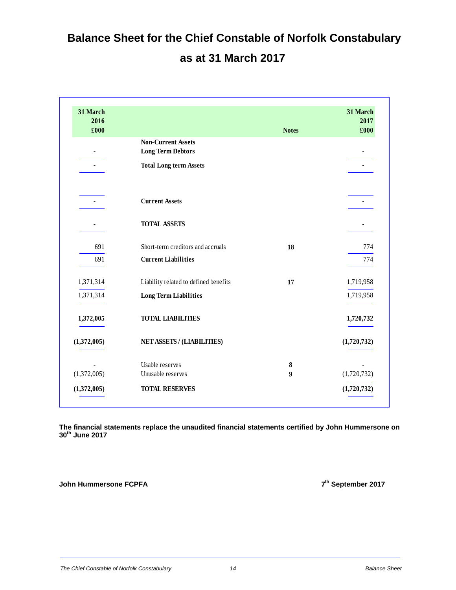# **Balance Sheet for the Chief Constable of Norfolk Constabulary as at 31 March 2017**

| 31 March<br>2016<br>£000 |                                       | <b>Notes</b> | 31 March<br>2017<br>£000 |
|--------------------------|---------------------------------------|--------------|--------------------------|
|                          | <b>Non-Current Assets</b>             |              |                          |
|                          | <b>Long Term Debtors</b>              |              |                          |
|                          | <b>Total Long term Assets</b>         |              |                          |
| $\overline{a}$           | <b>Current Assets</b>                 |              |                          |
|                          | <b>TOTAL ASSETS</b>                   |              |                          |
| 691                      | Short-term creditors and accruals     | 18           | 774                      |
| 691                      | <b>Current Liabilities</b>            |              | 774                      |
| 1,371,314                | Liability related to defined benefits | 17           | 1,719,958                |
| 1,371,314                | <b>Long Term Liabilities</b>          |              | 1,719,958                |
| 1,372,005                | <b>TOTAL LIABILITIES</b>              |              | 1,720,732                |
| (1,372,005)              | <b>NET ASSETS / (LIABILITIES)</b>     |              | (1,720,732)              |
|                          | Usable reserves                       | 8            |                          |
| (1,372,005)              | Unusable reserves                     | 9            | (1,720,732)              |
| (1,372,005)              | <b>TOTAL RESERVES</b>                 |              | (1,720,732)              |

**The financial statements replace the unaudited financial statements certified by John Hummersone on 30th June 2017** 

**John Hummersone FCPFA** 7<sup>th</sup> September 2017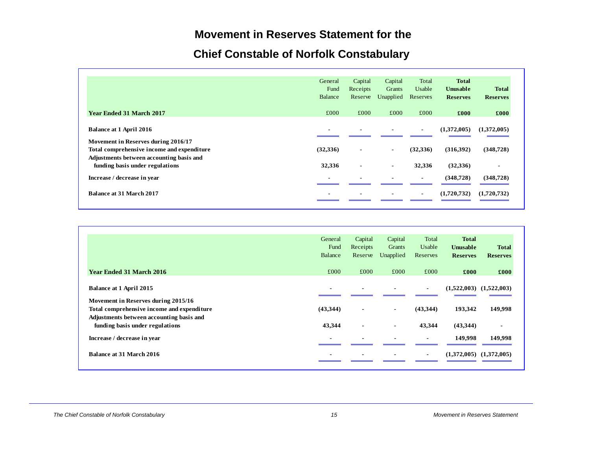### **Movement in Reserves Statement for the**

# **Chief Constable of Norfolk Constabulary**

|                                            | General        | Capital        | Capital        | Total          | <b>Total</b>    |                 |
|--------------------------------------------|----------------|----------------|----------------|----------------|-----------------|-----------------|
|                                            | Fund           | Receipts       | Grants         | Usable         | <b>Unusable</b> | <b>Total</b>    |
|                                            | Balance        | Reserve        | Unapplied      | Reserves       | <b>Reserves</b> | <b>Reserves</b> |
| <b>Year Ended 31 March 2017</b>            | £000           | £000           | £000           | £000           | £000            | £000            |
| <b>Balance at 1 April 2016</b>             | $\blacksquare$ | $\blacksquare$ |                | $\blacksquare$ | (1,372,005)     | (1,372,005)     |
| Movement in Reserves during 2016/17        |                |                |                |                |                 |                 |
| Total comprehensive income and expenditure | (32,336)       | $\blacksquare$ | $\blacksquare$ | (32, 336)      | (316,392)       | (348, 728)      |
| Adjustments between accounting basis and   |                |                |                |                |                 |                 |
| funding basis under regulations            | 32,336         | $\blacksquare$ | $\blacksquare$ | 32,336         | (32, 336)       | $\blacksquare$  |
| Increase / decrease in year                | $\blacksquare$ |                |                | $\sim$         | (348,728)       | (348, 728)      |
| <b>Balance at 31 March 2017</b>            |                | $\blacksquare$ |                | $\blacksquare$ | (1,720,732)     | (1,720,732)     |

|                                            | General                  | Capital        | Capital        | Total          | <b>Total</b>                |                 |
|--------------------------------------------|--------------------------|----------------|----------------|----------------|-----------------------------|-----------------|
|                                            | Fund                     | Receipts       | Grants         | Usable         | <b>Unusable</b>             | <b>Total</b>    |
|                                            | Balance                  | Reserve        | Unapplied      | Reserves       | <b>Reserves</b>             | <b>Reserves</b> |
| Year Ended 31 March 2016                   | £000                     | £000           | £000           | £000           | £000                        | £000            |
| <b>Balance at 1 April 2015</b>             | $\blacksquare$           |                |                | $\blacksquare$ | $(1,522,003)$ $(1,522,003)$ |                 |
| Movement in Reserves during 2015/16        |                          |                |                |                |                             |                 |
| Total comprehensive income and expenditure | (43,344)                 |                | $\blacksquare$ | (43,344)       | 193,342                     | 149,998         |
| Adjustments between accounting basis and   |                          |                |                |                |                             |                 |
| funding basis under regulations            | 43,344                   | $\blacksquare$ | $\blacksquare$ | 43,344         | (43, 344)                   | $\blacksquare$  |
| Increase / decrease in year                | $\blacksquare$           |                |                |                | 149,998                     | 149,998         |
| <b>Balance at 31 March 2016</b>            | $\overline{\phantom{0}}$ |                |                | $\blacksquare$ | (1,372,005)                 | (1,372,005)     |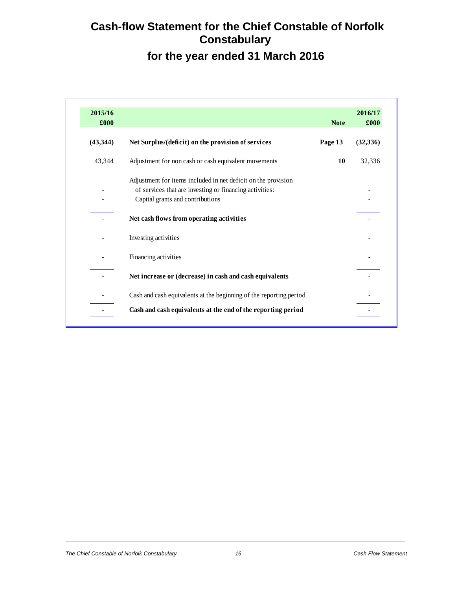# **Cash-flow Statement for the Chief Constable of Norfolk Constabulary for the year ended 31 March 2016**

| 2015/16<br>£000 |                                                                    | <b>Note</b> | 2016/17<br>£000 |
|-----------------|--------------------------------------------------------------------|-------------|-----------------|
| (43, 344)       | Net Surplus/(deficit) on the provision of services                 | Page 13     | (32, 336)       |
| 43,344          | Adjustment for non cash or cash equivalent movements               | 10          | 32,336          |
|                 | Adjustment for items included in net deficit on the provision      |             |                 |
|                 | of services that are investing or financing activities:            |             |                 |
|                 | Capital grants and contributions                                   |             |                 |
|                 | Net cash flows from operating activities                           |             |                 |
|                 | Investing activities                                               |             |                 |
|                 | Financing activities                                               |             |                 |
|                 | Net increase or (decrease) in cash and cash equivalents            |             |                 |
|                 | Cash and cash equivalents at the beginning of the reporting period |             |                 |
|                 | Cash and cash equivalents at the end of the reporting period       |             |                 |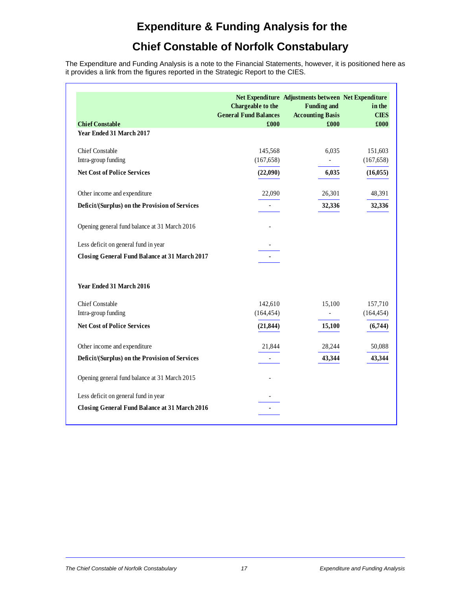## **Expenditure & Funding Analysis for the**

# **Chief Constable of Norfolk Constabulary**

The Expenditure and Funding Analysis is a note to the Financial Statements, however, it is positioned here as it provides a link from the figures reported in the Strategic Report to the CIES.

|                                                      | Chargeable to the<br><b>General Fund Balances</b> | Net Expenditure Adjustments between Net Expenditure<br><b>Funding and</b><br><b>Accounting Basis</b> | in the<br><b>CIES</b> |
|------------------------------------------------------|---------------------------------------------------|------------------------------------------------------------------------------------------------------|-----------------------|
| <b>Chief Constable</b><br>Year Ended 31 March 2017   | £000                                              | £000                                                                                                 | £000                  |
|                                                      |                                                   |                                                                                                      |                       |
| <b>Chief Constable</b>                               | 145,568                                           | 6,035                                                                                                | 151,603               |
| Intra-group funding                                  | (167, 658)                                        | $\overline{\phantom{a}}$                                                                             | (167, 658)            |
| <b>Net Cost of Police Services</b>                   | (22,090)                                          | 6,035                                                                                                | (16, 055)             |
| Other income and expenditure                         | 22,090                                            | 26,301                                                                                               | 48,391                |
| Deficit/(Surplus) on the Provision of Services       |                                                   | 32,336                                                                                               | 32,336                |
| Opening general fund balance at 31 March 2016        |                                                   |                                                                                                      |                       |
| Less deficit on general fund in year                 |                                                   |                                                                                                      |                       |
| <b>Closing General Fund Balance at 31 March 2017</b> |                                                   |                                                                                                      |                       |
| Year Ended 31 March 2016                             |                                                   |                                                                                                      |                       |
| <b>Chief Constable</b>                               | 142,610                                           | 15,100                                                                                               | 157,710               |
| Intra-group funding                                  | (164, 454)                                        | $\overline{\phantom{0}}$                                                                             | (164, 454)            |
| <b>Net Cost of Police Services</b>                   | (21, 844)                                         | 15,100                                                                                               | (6,744)               |
| Other income and expenditure                         | 21,844                                            | 28,244                                                                                               | 50,088                |
| Deficit/(Surplus) on the Provision of Services       |                                                   | 43,344                                                                                               | 43,344                |
| Opening general fund balance at 31 March 2015        |                                                   |                                                                                                      |                       |
| Less deficit on general fund in year                 |                                                   |                                                                                                      |                       |
| <b>Closing General Fund Balance at 31 March 2016</b> |                                                   |                                                                                                      |                       |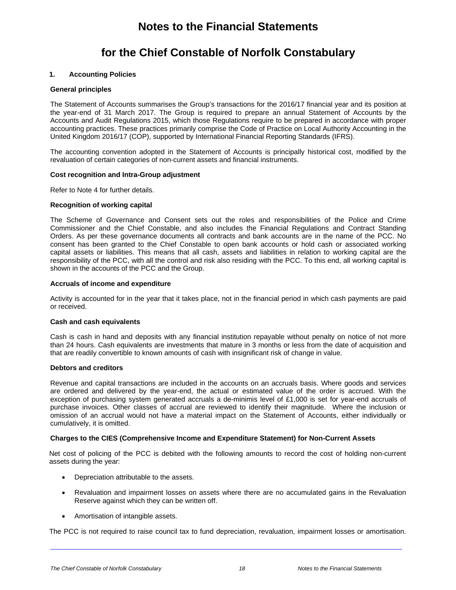## **Notes to the Financial Statements**

### **for the Chief Constable of Norfolk Constabulary**

#### **1. Accounting Policies**

#### **General principles**

The Statement of Accounts summarises the Group's transactions for the 2016/17 financial year and its position at the year-end of 31 March 2017. The Group is required to prepare an annual Statement of Accounts by the Accounts and Audit Regulations 2015, which those Regulations require to be prepared in accordance with proper accounting practices. These practices primarily comprise the Code of Practice on Local Authority Accounting in the United Kingdom 2016/17 (COP), supported by International Financial Reporting Standards (IFRS).

The accounting convention adopted in the Statement of Accounts is principally historical cost, modified by the revaluation of certain categories of non-current assets and financial instruments.

#### **Cost recognition and Intra-Group adjustment**

Refer to Note 4 for further details.

#### **Recognition of working capital**

The Scheme of Governance and Consent sets out the roles and responsibilities of the Police and Crime Commissioner and the Chief Constable, and also includes the Financial Regulations and Contract Standing Orders. As per these governance documents all contracts and bank accounts are in the name of the PCC. No consent has been granted to the Chief Constable to open bank accounts or hold cash or associated working capital assets or liabilities. This means that all cash, assets and liabilities in relation to working capital are the responsibility of the PCC, with all the control and risk also residing with the PCC. To this end, all working capital is shown in the accounts of the PCC and the Group.

#### **Accruals of income and expenditure**

Activity is accounted for in the year that it takes place, not in the financial period in which cash payments are paid or received.

#### **Cash and cash equivalents**

Cash is cash in hand and deposits with any financial institution repayable without penalty on notice of not more than 24 hours. Cash equivalents are investments that mature in 3 months or less from the date of acquisition and that are readily convertible to known amounts of cash with insignificant risk of change in value.

#### **Debtors and creditors**

Revenue and capital transactions are included in the accounts on an accruals basis. Where goods and services are ordered and delivered by the year-end, the actual or estimated value of the order is accrued. With the exception of purchasing system generated accruals a de-minimis level of £1,000 is set for year-end accruals of purchase invoices. Other classes of accrual are reviewed to identify their magnitude. Where the inclusion or omission of an accrual would not have a material impact on the Statement of Accounts, either individually or cumulatively, it is omitted.

#### **Charges to the CIES (Comprehensive Income and Expenditure Statement) for Non-Current Assets**

Net cost of policing of the PCC is debited with the following amounts to record the cost of holding non-current assets during the year:

- Depreciation attributable to the assets.
- Revaluation and impairment losses on assets where there are no accumulated gains in the Revaluation Reserve against which they can be written off.
- Amortisation of intangible assets.

The PCC is not required to raise council tax to fund depreciation, revaluation, impairment losses or amortisation.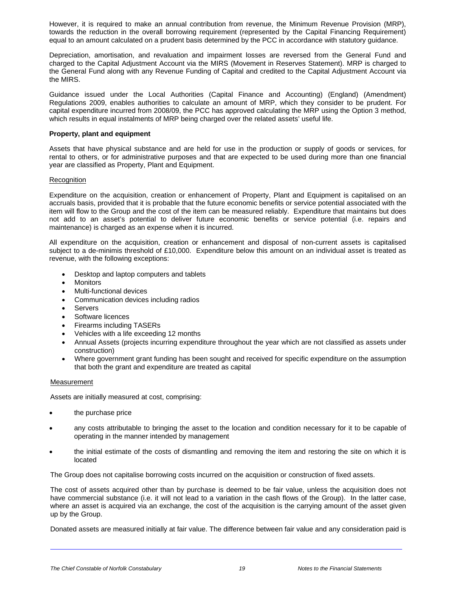However, it is required to make an annual contribution from revenue, the Minimum Revenue Provision (MRP), towards the reduction in the overall borrowing requirement (represented by the Capital Financing Requirement) equal to an amount calculated on a prudent basis determined by the PCC in accordance with statutory guidance.

Depreciation, amortisation, and revaluation and impairment losses are reversed from the General Fund and charged to the Capital Adjustment Account via the MIRS (Movement in Reserves Statement). MRP is charged to the General Fund along with any Revenue Funding of Capital and credited to the Capital Adjustment Account via the MIRS.

Guidance issued under the Local Authorities (Capital Finance and Accounting) (England) (Amendment) Regulations 2009, enables authorities to calculate an amount of MRP, which they consider to be prudent. For capital expenditure incurred from 2008/09, the PCC has approved calculating the MRP using the Option 3 method, which results in equal instalments of MRP being charged over the related assets' useful life.

#### **Property, plant and equipment**

Assets that have physical substance and are held for use in the production or supply of goods or services, for rental to others, or for administrative purposes and that are expected to be used during more than one financial year are classified as Property, Plant and Equipment.

#### Recognition

Expenditure on the acquisition, creation or enhancement of Property, Plant and Equipment is capitalised on an accruals basis, provided that it is probable that the future economic benefits or service potential associated with the item will flow to the Group and the cost of the item can be measured reliably. Expenditure that maintains but does not add to an asset's potential to deliver future economic benefits or service potential (i.e. repairs and maintenance) is charged as an expense when it is incurred.

All expenditure on the acquisition, creation or enhancement and disposal of non-current assets is capitalised subject to a de-minimis threshold of £10,000. Expenditure below this amount on an individual asset is treated as revenue, with the following exceptions:

- Desktop and laptop computers and tablets
- **Monitors**
- Multi-functional devices
- Communication devices including radios
- Servers
- Software licences
- Firearms including TASERs
- Vehicles with a life exceeding 12 months
- Annual Assets (projects incurring expenditure throughout the year which are not classified as assets under construction)
- Where government grant funding has been sought and received for specific expenditure on the assumption that both the grant and expenditure are treated as capital

#### Measurement

l,

Assets are initially measured at cost, comprising:

- the purchase price
- any costs attributable to bringing the asset to the location and condition necessary for it to be capable of operating in the manner intended by management
- the initial estimate of the costs of dismantling and removing the item and restoring the site on which it is located

The Group does not capitalise borrowing costs incurred on the acquisition or construction of fixed assets.

The cost of assets acquired other than by purchase is deemed to be fair value, unless the acquisition does not have commercial substance (i.e. it will not lead to a variation in the cash flows of the Group). In the latter case, where an asset is acquired via an exchange, the cost of the acquisition is the carrying amount of the asset given up by the Group.

Donated assets are measured initially at fair value. The difference between fair value and any consideration paid is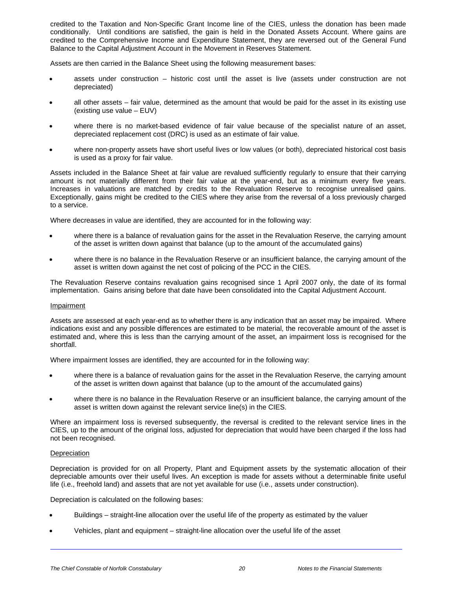credited to the Taxation and Non-Specific Grant Income line of the CIES, unless the donation has been made conditionally. Until conditions are satisfied, the gain is held in the Donated Assets Account. Where gains are credited to the Comprehensive Income and Expenditure Statement, they are reversed out of the General Fund Balance to the Capital Adjustment Account in the Movement in Reserves Statement.

Assets are then carried in the Balance Sheet using the following measurement bases:

- assets under construction historic cost until the asset is live (assets under construction are not depreciated)
- all other assets fair value, determined as the amount that would be paid for the asset in its existing use (existing use value – EUV)
- where there is no market-based evidence of fair value because of the specialist nature of an asset, depreciated replacement cost (DRC) is used as an estimate of fair value.
- where non-property assets have short useful lives or low values (or both), depreciated historical cost basis is used as a proxy for fair value.

Assets included in the Balance Sheet at fair value are revalued sufficiently regularly to ensure that their carrying amount is not materially different from their fair value at the year-end, but as a minimum every five years. Increases in valuations are matched by credits to the Revaluation Reserve to recognise unrealised gains. Exceptionally, gains might be credited to the CIES where they arise from the reversal of a loss previously charged to a service.

Where decreases in value are identified, they are accounted for in the following way:

- where there is a balance of revaluation gains for the asset in the Revaluation Reserve, the carrying amount of the asset is written down against that balance (up to the amount of the accumulated gains)
- where there is no balance in the Revaluation Reserve or an insufficient balance, the carrying amount of the asset is written down against the net cost of policing of the PCC in the CIES.

The Revaluation Reserve contains revaluation gains recognised since 1 April 2007 only, the date of its formal implementation. Gains arising before that date have been consolidated into the Capital Adjustment Account.

#### Impairment

Assets are assessed at each year-end as to whether there is any indication that an asset may be impaired. Where indications exist and any possible differences are estimated to be material, the recoverable amount of the asset is estimated and, where this is less than the carrying amount of the asset, an impairment loss is recognised for the shortfall.

Where impairment losses are identified, they are accounted for in the following way:

- where there is a balance of revaluation gains for the asset in the Revaluation Reserve, the carrying amount of the asset is written down against that balance (up to the amount of the accumulated gains)
- where there is no balance in the Revaluation Reserve or an insufficient balance, the carrying amount of the asset is written down against the relevant service line(s) in the CIES.

Where an impairment loss is reversed subsequently, the reversal is credited to the relevant service lines in the CIES, up to the amount of the original loss, adjusted for depreciation that would have been charged if the loss had not been recognised.

#### **Depreciation**

l,

Depreciation is provided for on all Property, Plant and Equipment assets by the systematic allocation of their depreciable amounts over their useful lives. An exception is made for assets without a determinable finite useful life (i.e., freehold land) and assets that are not yet available for use (i.e., assets under construction).

Depreciation is calculated on the following bases:

- Buildings straight-line allocation over the useful life of the property as estimated by the valuer
- Vehicles, plant and equipment straight-line allocation over the useful life of the asset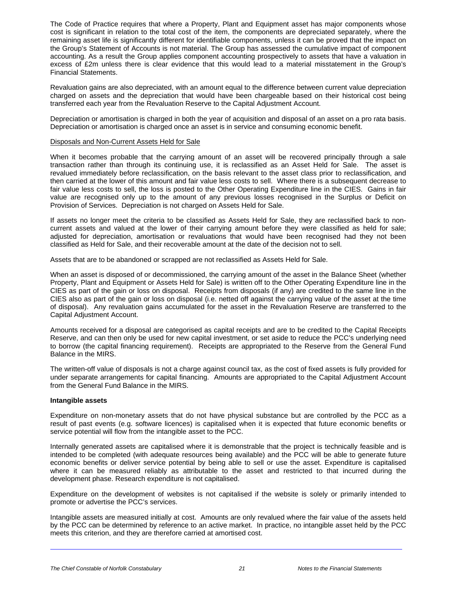The Code of Practice requires that where a Property, Plant and Equipment asset has major components whose cost is significant in relation to the total cost of the item, the components are depreciated separately, where the remaining asset life is significantly different for identifiable components, unless it can be proved that the impact on the Group's Statement of Accounts is not material. The Group has assessed the cumulative impact of component accounting. As a result the Group applies component accounting prospectively to assets that have a valuation in excess of £2m unless there is clear evidence that this would lead to a material misstatement in the Group's Financial Statements.

Revaluation gains are also depreciated, with an amount equal to the difference between current value depreciation charged on assets and the depreciation that would have been chargeable based on their historical cost being transferred each year from the Revaluation Reserve to the Capital Adjustment Account.

Depreciation or amortisation is charged in both the year of acquisition and disposal of an asset on a pro rata basis. Depreciation or amortisation is charged once an asset is in service and consuming economic benefit.

#### Disposals and Non-Current Assets Held for Sale

When it becomes probable that the carrying amount of an asset will be recovered principally through a sale transaction rather than through its continuing use, it is reclassified as an Asset Held for Sale. The asset is revalued immediately before reclassification, on the basis relevant to the asset class prior to reclassification, and then carried at the lower of this amount and fair value less costs to sell. Where there is a subsequent decrease to fair value less costs to sell, the loss is posted to the Other Operating Expenditure line in the CIES. Gains in fair value are recognised only up to the amount of any previous losses recognised in the Surplus or Deficit on Provision of Services. Depreciation is not charged on Assets Held for Sale.

If assets no longer meet the criteria to be classified as Assets Held for Sale, they are reclassified back to noncurrent assets and valued at the lower of their carrying amount before they were classified as held for sale; adjusted for depreciation, amortisation or revaluations that would have been recognised had they not been classified as Held for Sale, and their recoverable amount at the date of the decision not to sell.

Assets that are to be abandoned or scrapped are not reclassified as Assets Held for Sale.

When an asset is disposed of or decommissioned, the carrying amount of the asset in the Balance Sheet (whether Property, Plant and Equipment or Assets Held for Sale) is written off to the Other Operating Expenditure line in the CIES as part of the gain or loss on disposal. Receipts from disposals (if any) are credited to the same line in the CIES also as part of the gain or loss on disposal (i.e. netted off against the carrying value of the asset at the time of disposal). Any revaluation gains accumulated for the asset in the Revaluation Reserve are transferred to the Capital Adjustment Account.

Amounts received for a disposal are categorised as capital receipts and are to be credited to the Capital Receipts Reserve, and can then only be used for new capital investment, or set aside to reduce the PCC's underlying need to borrow (the capital financing requirement). Receipts are appropriated to the Reserve from the General Fund Balance in the MIRS.

The written-off value of disposals is not a charge against council tax, as the cost of fixed assets is fully provided for under separate arrangements for capital financing. Amounts are appropriated to the Capital Adjustment Account from the General Fund Balance in the MIRS.

#### **Intangible assets**

l,

Expenditure on non-monetary assets that do not have physical substance but are controlled by the PCC as a result of past events (e.g. software licences) is capitalised when it is expected that future economic benefits or service potential will flow from the intangible asset to the PCC.

Internally generated assets are capitalised where it is demonstrable that the project is technically feasible and is intended to be completed (with adequate resources being available) and the PCC will be able to generate future economic benefits or deliver service potential by being able to sell or use the asset. Expenditure is capitalised where it can be measured reliably as attributable to the asset and restricted to that incurred during the development phase. Research expenditure is not capitalised.

Expenditure on the development of websites is not capitalised if the website is solely or primarily intended to promote or advertise the PCC's services.

Intangible assets are measured initially at cost. Amounts are only revalued where the fair value of the assets held by the PCC can be determined by reference to an active market. In practice, no intangible asset held by the PCC meets this criterion, and they are therefore carried at amortised cost.

*The Chief Constable of Norfolk Constabulary 21 Notes to the Financial Statements*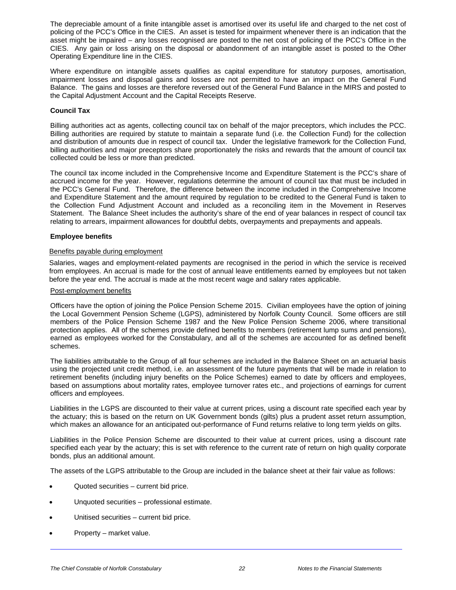The depreciable amount of a finite intangible asset is amortised over its useful life and charged to the net cost of policing of the PCC's Office in the CIES. An asset is tested for impairment whenever there is an indication that the asset might be impaired – any losses recognised are posted to the net cost of policing of the PCC's Office in the CIES. Any gain or loss arising on the disposal or abandonment of an intangible asset is posted to the Other Operating Expenditure line in the CIES.

Where expenditure on intangible assets qualifies as capital expenditure for statutory purposes, amortisation, impairment losses and disposal gains and losses are not permitted to have an impact on the General Fund Balance. The gains and losses are therefore reversed out of the General Fund Balance in the MIRS and posted to the Capital Adjustment Account and the Capital Receipts Reserve.

#### **Council Tax**

Billing authorities act as agents, collecting council tax on behalf of the major preceptors, which includes the PCC. Billing authorities are required by statute to maintain a separate fund (i.e. the Collection Fund) for the collection and distribution of amounts due in respect of council tax. Under the legislative framework for the Collection Fund, billing authorities and major preceptors share proportionately the risks and rewards that the amount of council tax collected could be less or more than predicted.

The council tax income included in the Comprehensive Income and Expenditure Statement is the PCC's share of accrued income for the year. However, regulations determine the amount of council tax that must be included in the PCC's General Fund. Therefore, the difference between the income included in the Comprehensive Income and Expenditure Statement and the amount required by regulation to be credited to the General Fund is taken to the Collection Fund Adjustment Account and included as a reconciling item in the Movement in Reserves Statement. The Balance Sheet includes the authority's share of the end of year balances in respect of council tax relating to arrears, impairment allowances for doubtful debts, overpayments and prepayments and appeals.

#### **Employee benefits**

#### Benefits payable during employment

Salaries, wages and employment-related payments are recognised in the period in which the service is received from employees. An accrual is made for the cost of annual leave entitlements earned by employees but not taken before the year end. The accrual is made at the most recent wage and salary rates applicable.

#### Post-employment benefits

Officers have the option of joining the Police Pension Scheme 2015. Civilian employees have the option of joining the Local Government Pension Scheme (LGPS), administered by Norfolk County Council. Some officers are still members of the Police Pension Scheme 1987 and the New Police Pension Scheme 2006, where transitional protection applies. All of the schemes provide defined benefits to members (retirement lump sums and pensions), earned as employees worked for the Constabulary, and all of the schemes are accounted for as defined benefit schemes.

The liabilities attributable to the Group of all four schemes are included in the Balance Sheet on an actuarial basis using the projected unit credit method, i.e. an assessment of the future payments that will be made in relation to retirement benefits (including injury benefits on the Police Schemes) earned to date by officers and employees, based on assumptions about mortality rates, employee turnover rates etc., and projections of earnings for current officers and employees.

Liabilities in the LGPS are discounted to their value at current prices, using a discount rate specified each year by the actuary; this is based on the return on UK Government bonds (gilts) plus a prudent asset return assumption, which makes an allowance for an anticipated out-performance of Fund returns relative to long term yields on gilts.

Liabilities in the Police Pension Scheme are discounted to their value at current prices, using a discount rate specified each year by the actuary; this is set with reference to the current rate of return on high quality corporate bonds, plus an additional amount.

The assets of the LGPS attributable to the Group are included in the balance sheet at their fair value as follows:

- Quoted securities current bid price.
- Unquoted securities professional estimate.
- Unitised securities current bid price.
- Property market value.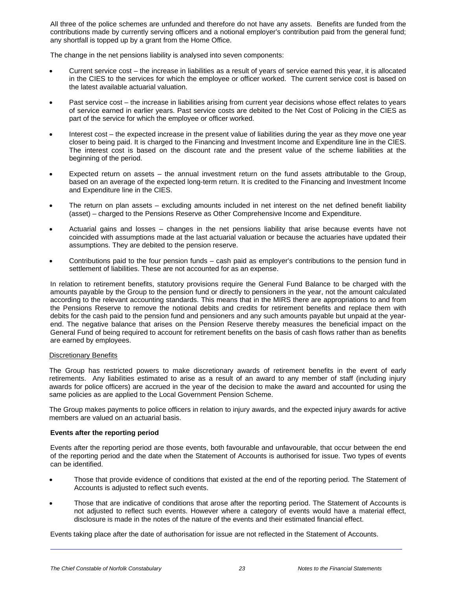All three of the police schemes are unfunded and therefore do not have any assets. Benefits are funded from the contributions made by currently serving officers and a notional employer's contribution paid from the general fund; any shortfall is topped up by a grant from the Home Office.

The change in the net pensions liability is analysed into seven components:

- Current service cost the increase in liabilities as a result of years of service earned this year, it is allocated in the CIES to the services for which the employee or officer worked.The current service cost is based on the latest available actuarial valuation.
- Past service cost the increase in liabilities arising from current year decisions whose effect relates to years of service earned in earlier years. Past service costs are debited to the Net Cost of Policing in the CIES as part of the service for which the employee or officer worked.
- Interest cost the expected increase in the present value of liabilities during the year as they move one year closer to being paid. It is charged to the Financing and Investment Income and Expenditure line in the CIES. The interest cost is based on the discount rate and the present value of the scheme liabilities at the beginning of the period.
- Expected return on assets the annual investment return on the fund assets attributable to the Group, based on an average of the expected long-term return. It is credited to the Financing and Investment Income and Expenditure line in the CIES.
- The return on plan assets excluding amounts included in net interest on the net defined benefit liability (asset) – charged to the Pensions Reserve as Other Comprehensive Income and Expenditure.
- Actuarial gains and losses changes in the net pensions liability that arise because events have not coincided with assumptions made at the last actuarial valuation or because the actuaries have updated their assumptions. They are debited to the pension reserve.
- Contributions paid to the four pension funds cash paid as employer's contributions to the pension fund in settlement of liabilities. These are not accounted for as an expense.

In relation to retirement benefits, statutory provisions require the General Fund Balance to be charged with the amounts payable by the Group to the pension fund or directly to pensioners in the year, not the amount calculated according to the relevant accounting standards. This means that in the MIRS there are appropriations to and from the Pensions Reserve to remove the notional debits and credits for retirement benefits and replace them with debits for the cash paid to the pension fund and pensioners and any such amounts payable but unpaid at the yearend. The negative balance that arises on the Pension Reserve thereby measures the beneficial impact on the General Fund of being required to account for retirement benefits on the basis of cash flows rather than as benefits are earned by employees.

#### Discretionary Benefits

The Group has restricted powers to make discretionary awards of retirement benefits in the event of early retirements. Any liabilities estimated to arise as a result of an award to any member of staff (including injury awards for police officers) are accrued in the year of the decision to make the award and accounted for using the same policies as are applied to the Local Government Pension Scheme.

The Group makes payments to police officers in relation to injury awards, and the expected injury awards for active members are valued on an actuarial basis.

#### **Events after the reporting period**

Events after the reporting period are those events, both favourable and unfavourable, that occur between the end of the reporting period and the date when the Statement of Accounts is authorised for issue. Two types of events can be identified.

- Those that provide evidence of conditions that existed at the end of the reporting period. The Statement of Accounts is adjusted to reflect such events.
- Those that are indicative of conditions that arose after the reporting period. The Statement of Accounts is not adjusted to reflect such events. However where a category of events would have a material effect, disclosure is made in the notes of the nature of the events and their estimated financial effect.

Events taking place after the date of authorisation for issue are not reflected in the Statement of Accounts.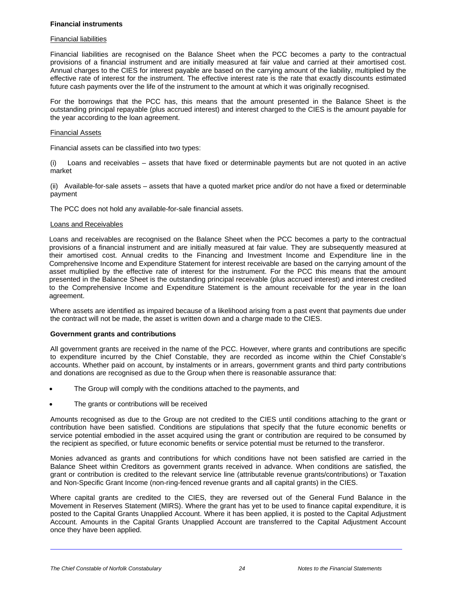#### **Financial instruments**

#### Financial liabilities

Financial liabilities are recognised on the Balance Sheet when the PCC becomes a party to the contractual provisions of a financial instrument and are initially measured at fair value and carried at their amortised cost. Annual charges to the CIES for interest payable are based on the carrying amount of the liability, multiplied by the effective rate of interest for the instrument. The effective interest rate is the rate that exactly discounts estimated future cash payments over the life of the instrument to the amount at which it was originally recognised.

For the borrowings that the PCC has, this means that the amount presented in the Balance Sheet is the outstanding principal repayable (plus accrued interest) and interest charged to the CIES is the amount payable for the year according to the loan agreement.

#### Financial Assets

Financial assets can be classified into two types:

(i) Loans and receivables – assets that have fixed or determinable payments but are not quoted in an active market

(ii) Available-for-sale assets – assets that have a quoted market price and/or do not have a fixed or determinable payment

The PCC does not hold any available-for-sale financial assets.

#### Loans and Receivables

Loans and receivables are recognised on the Balance Sheet when the PCC becomes a party to the contractual provisions of a financial instrument and are initially measured at fair value. They are subsequently measured at their amortised cost. Annual credits to the Financing and Investment Income and Expenditure line in the Comprehensive Income and Expenditure Statement for interest receivable are based on the carrying amount of the asset multiplied by the effective rate of interest for the instrument. For the PCC this means that the amount presented in the Balance Sheet is the outstanding principal receivable (plus accrued interest) and interest credited to the Comprehensive Income and Expenditure Statement is the amount receivable for the year in the loan agreement.

Where assets are identified as impaired because of a likelihood arising from a past event that payments due under the contract will not be made, the asset is written down and a charge made to the CIES.

#### **Government grants and contributions**

All government grants are received in the name of the PCC. However, where grants and contributions are specific to expenditure incurred by the Chief Constable, they are recorded as income within the Chief Constable's accounts. Whether paid on account, by instalments or in arrears, government grants and third party contributions and donations are recognised as due to the Group when there is reasonable assurance that:

- The Group will comply with the conditions attached to the payments, and
- The grants or contributions will be received

Amounts recognised as due to the Group are not credited to the CIES until conditions attaching to the grant or contribution have been satisfied. Conditions are stipulations that specify that the future economic benefits or service potential embodied in the asset acquired using the grant or contribution are required to be consumed by the recipient as specified, or future economic benefits or service potential must be returned to the transferor.

Monies advanced as grants and contributions for which conditions have not been satisfied are carried in the Balance Sheet within Creditors as government grants received in advance. When conditions are satisfied, the grant or contribution is credited to the relevant service line (attributable revenue grants/contributions) or Taxation and Non-Specific Grant Income (non-ring-fenced revenue grants and all capital grants) in the CIES.

Where capital grants are credited to the CIES, they are reversed out of the General Fund Balance in the Movement in Reserves Statement (MIRS). Where the grant has yet to be used to finance capital expenditure, it is posted to the Capital Grants Unapplied Account. Where it has been applied, it is posted to the Capital Adjustment Account. Amounts in the Capital Grants Unapplied Account are transferred to the Capital Adjustment Account once they have been applied.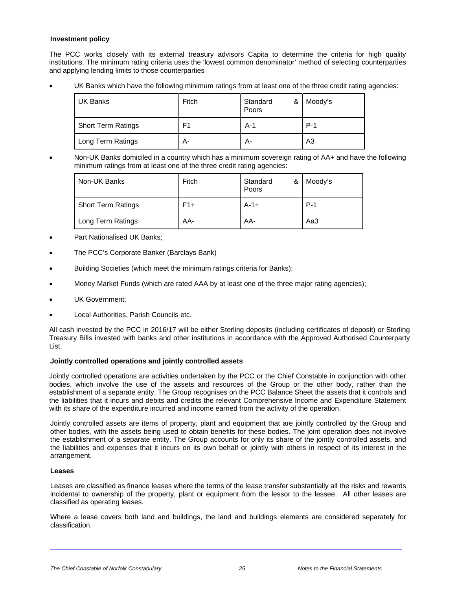#### **Investment policy**

The PCC works closely with its external treasury advisors Capita to determine the criteria for high quality institutions. The minimum rating criteria uses the 'lowest common denominator' method of selecting counterparties and applying lending limits to those counterparties

UK Banks which have the following minimum ratings from at least one of the three credit rating agencies:

| UK Banks                  | Fitch | Standard<br>&<br>Poors | Moody's        |
|---------------------------|-------|------------------------|----------------|
| <b>Short Term Ratings</b> | F1    | $A-1$                  | $P-1$          |
| Long Term Ratings         | А-    | А-                     | A <sub>3</sub> |

 Non-UK Banks domiciled in a country which has a minimum sovereign rating of AA+ and have the following minimum ratings from at least one of the three credit rating agencies:

| Non-UK Banks              | Fitch | Standard<br>& I<br>Poors | Moody's |
|---------------------------|-------|--------------------------|---------|
| <b>Short Term Ratings</b> | $F1+$ | $A-1+$                   | $P-1$   |
| Long Term Ratings         | AA-   | AA-                      | Aa3     |

- Part Nationalised UK Banks;
- The PCC's Corporate Banker (Barclays Bank)
- Building Societies (which meet the minimum ratings criteria for Banks);
- Money Market Funds (which are rated AAA by at least one of the three major rating agencies);
- UK Government;
- Local Authorities, Parish Councils etc.

All cash invested by the PCC in 2016/17 will be either Sterling deposits (including certificates of deposit) or Sterling Treasury Bills invested with banks and other institutions in accordance with the Approved Authorised Counterparty List.

#### **Jointly controlled operations and jointly controlled assets**

Jointly controlled operations are activities undertaken by the PCC or the Chief Constable in conjunction with other bodies, which involve the use of the assets and resources of the Group or the other body, rather than the establishment of a separate entity. The Group recognises on the PCC Balance Sheet the assets that it controls and the liabilities that it incurs and debits and credits the relevant Comprehensive Income and Expenditure Statement with its share of the expenditure incurred and income earned from the activity of the operation.

Jointly controlled assets are items of property, plant and equipment that are jointly controlled by the Group and other bodies, with the assets being used to obtain benefits for these bodies. The joint operation does not involve the establishment of a separate entity. The Group accounts for only its share of the jointly controlled assets, and the liabilities and expenses that it incurs on its own behalf or jointly with others in respect of its interest in the arrangement.

#### **Leases**

l,

Leases are classified as finance leases where the terms of the lease transfer substantially all the risks and rewards incidental to ownership of the property, plant or equipment from the lessor to the lessee. All other leases are classified as operating leases.

Where a lease covers both land and buildings, the land and buildings elements are considered separately for classification.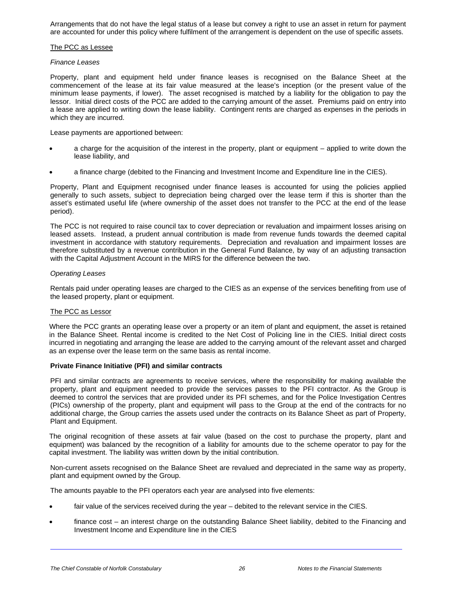Arrangements that do not have the legal status of a lease but convey a right to use an asset in return for payment are accounted for under this policy where fulfilment of the arrangement is dependent on the use of specific assets.

#### The PCC as Lessee

#### *Finance Leases*

Property, plant and equipment held under finance leases is recognised on the Balance Sheet at the commencement of the lease at its fair value measured at the lease's inception (or the present value of the minimum lease payments, if lower). The asset recognised is matched by a liability for the obligation to pay the lessor. Initial direct costs of the PCC are added to the carrying amount of the asset. Premiums paid on entry into a lease are applied to writing down the lease liability. Contingent rents are charged as expenses in the periods in which they are incurred.

Lease payments are apportioned between:

- a charge for the acquisition of the interest in the property, plant or equipment applied to write down the lease liability, and
- a finance charge (debited to the Financing and Investment Income and Expenditure line in the CIES).

Property, Plant and Equipment recognised under finance leases is accounted for using the policies applied generally to such assets, subject to depreciation being charged over the lease term if this is shorter than the asset's estimated useful life (where ownership of the asset does not transfer to the PCC at the end of the lease period).

The PCC is not required to raise council tax to cover depreciation or revaluation and impairment losses arising on leased assets. Instead, a prudent annual contribution is made from revenue funds towards the deemed capital investment in accordance with statutory requirements. Depreciation and revaluation and impairment losses are therefore substituted by a revenue contribution in the General Fund Balance, by way of an adjusting transaction with the Capital Adjustment Account in the MIRS for the difference between the two.

#### *Operating Leases*

Rentals paid under operating leases are charged to the CIES as an expense of the services benefiting from use of the leased property, plant or equipment.

#### The PCC as Lessor

Where the PCC grants an operating lease over a property or an item of plant and equipment, the asset is retained in the Balance Sheet. Rental income is credited to the Net Cost of Policing line in the CIES. Initial direct costs incurred in negotiating and arranging the lease are added to the carrying amount of the relevant asset and charged as an expense over the lease term on the same basis as rental income.

#### **Private Finance Initiative (PFI) and similar contracts**

PFI and similar contracts are agreements to receive services, where the responsibility for making available the property, plant and equipment needed to provide the services passes to the PFI contractor. As the Group is deemed to control the services that are provided under its PFI schemes, and for the Police Investigation Centres (PICs) ownership of the property, plant and equipment will pass to the Group at the end of the contracts for no additional charge, the Group carries the assets used under the contracts on its Balance Sheet as part of Property, Plant and Equipment.

The original recognition of these assets at fair value (based on the cost to purchase the property, plant and equipment) was balanced by the recognition of a liability for amounts due to the scheme operator to pay for the capital investment. The liability was written down by the initial contribution.

Non-current assets recognised on the Balance Sheet are revalued and depreciated in the same way as property, plant and equipment owned by the Group.

The amounts payable to the PFI operators each year are analysed into five elements:

- fair value of the services received during the year debited to the relevant service in the CIES.
- finance cost an interest charge on the outstanding Balance Sheet liability, debited to the Financing and Investment Income and Expenditure line in the CIES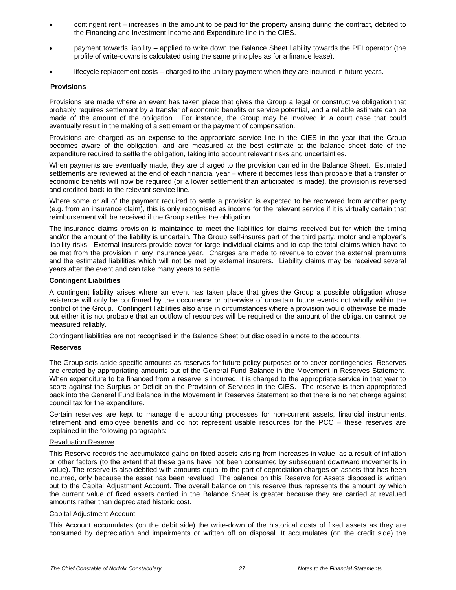- contingent rent increases in the amount to be paid for the property arising during the contract, debited to the Financing and Investment Income and Expenditure line in the CIES.
- payment towards liability applied to write down the Balance Sheet liability towards the PFI operator (the profile of write-downs is calculated using the same principles as for a finance lease).
- lifecycle replacement costs charged to the unitary payment when they are incurred in future years.

#### **Provisions**

Provisions are made where an event has taken place that gives the Group a legal or constructive obligation that probably requires settlement by a transfer of economic benefits or service potential, and a reliable estimate can be made of the amount of the obligation. For instance, the Group may be involved in a court case that could eventually result in the making of a settlement or the payment of compensation.

Provisions are charged as an expense to the appropriate service line in the CIES in the year that the Group becomes aware of the obligation, and are measured at the best estimate at the balance sheet date of the expenditure required to settle the obligation, taking into account relevant risks and uncertainties.

When payments are eventually made, they are charged to the provision carried in the Balance Sheet. Estimated settlements are reviewed at the end of each financial year – where it becomes less than probable that a transfer of economic benefits will now be required (or a lower settlement than anticipated is made), the provision is reversed and credited back to the relevant service line.

Where some or all of the payment required to settle a provision is expected to be recovered from another party (e.g. from an insurance claim), this is only recognised as income for the relevant service if it is virtually certain that reimbursement will be received if the Group settles the obligation.

The insurance claims provision is maintained to meet the liabilities for claims received but for which the timing and/or the amount of the liability is uncertain. The Group self-insures part of the third party, motor and employer's liability risks. External insurers provide cover for large individual claims and to cap the total claims which have to be met from the provision in any insurance year. Charges are made to revenue to cover the external premiums and the estimated liabilities which will not be met by external insurers. Liability claims may be received several years after the event and can take many years to settle.

#### **Contingent Liabilities**

A contingent liability arises where an event has taken place that gives the Group a possible obligation whose existence will only be confirmed by the occurrence or otherwise of uncertain future events not wholly within the control of the Group. Contingent liabilities also arise in circumstances where a provision would otherwise be made but either it is not probable that an outflow of resources will be required or the amount of the obligation cannot be measured reliably.

Contingent liabilities are not recognised in the Balance Sheet but disclosed in a note to the accounts.

#### **Reserves**

The Group sets aside specific amounts as reserves for future policy purposes or to cover contingencies*.* Reserves are created by appropriating amounts out of the General Fund Balance in the Movement in Reserves Statement. When expenditure to be financed from a reserve is incurred, it is charged to the appropriate service in that year to score against the Surplus or Deficit on the Provision of Services in the CIES. The reserve is then appropriated back into the General Fund Balance in the Movement in Reserves Statement so that there is no net charge against council tax for the expenditure.

Certain reserves are kept to manage the accounting processes for non-current assets, financial instruments, retirement and employee benefits and do not represent usable resources for the PCC – these reserves are explained in the following paragraphs:

#### Revaluation Reserve

This Reserve records the accumulated gains on fixed assets arising from increases in value, as a result of inflation or other factors (to the extent that these gains have not been consumed by subsequent downward movements in value). The reserve is also debited with amounts equal to the part of depreciation charges on assets that has been incurred, only because the asset has been revalued. The balance on this Reserve for Assets disposed is written out to the Capital Adjustment Account. The overall balance on this reserve thus represents the amount by which the current value of fixed assets carried in the Balance Sheet is greater because they are carried at revalued amounts rather than depreciated historic cost.

#### Capital Adjustment Account

l,

This Account accumulates (on the debit side) the write-down of the historical costs of fixed assets as they are consumed by depreciation and impairments or written off on disposal. It accumulates (on the credit side) the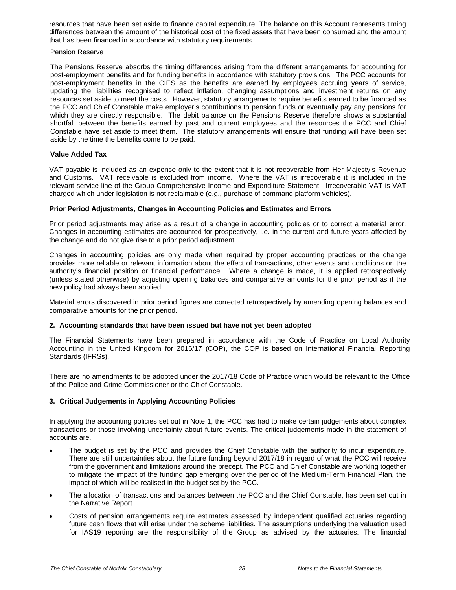resources that have been set aside to finance capital expenditure. The balance on this Account represents timing differences between the amount of the historical cost of the fixed assets that have been consumed and the amount that has been financed in accordance with statutory requirements.

#### Pension Reserve

The Pensions Reserve absorbs the timing differences arising from the different arrangements for accounting for post-employment benefits and for funding benefits in accordance with statutory provisions. The PCC accounts for post-employment benefits in the CIES as the benefits are earned by employees accruing years of service, updating the liabilities recognised to reflect inflation, changing assumptions and investment returns on any resources set aside to meet the costs. However, statutory arrangements require benefits earned to be financed as the PCC and Chief Constable make employer's contributions to pension funds or eventually pay any pensions for which they are directly responsible. The debit balance on the Pensions Reserve therefore shows a substantial shortfall between the benefits earned by past and current employees and the resources the PCC and Chief Constable have set aside to meet them. The statutory arrangements will ensure that funding will have been set aside by the time the benefits come to be paid.

#### **Value Added Tax**

VAT payable is included as an expense only to the extent that it is not recoverable from Her Majesty's Revenue and Customs. VAT receivable is excluded from income. Where the VAT is irrecoverable it is included in the relevant service line of the Group Comprehensive Income and Expenditure Statement. Irrecoverable VAT is VAT charged which under legislation is not reclaimable (e.g., purchase of command platform vehicles).

#### **Prior Period Adjustments, Changes in Accounting Policies and Estimates and Errors**

Prior period adjustments may arise as a result of a change in accounting policies or to correct a material error. Changes in accounting estimates are accounted for prospectively, i.e. in the current and future years affected by the change and do not give rise to a prior period adjustment.

Changes in accounting policies are only made when required by proper accounting practices or the change provides more reliable or relevant information about the effect of transactions, other events and conditions on the authority's financial position or financial performance. Where a change is made, it is applied retrospectively (unless stated otherwise) by adjusting opening balances and comparative amounts for the prior period as if the new policy had always been applied.

Material errors discovered in prior period figures are corrected retrospectively by amending opening balances and comparative amounts for the prior period.

#### **2. Accounting standards that have been issued but have not yet been adopted**

The Financial Statements have been prepared in accordance with the Code of Practice on Local Authority Accounting in the United Kingdom for 2016/17 (COP), the COP is based on International Financial Reporting Standards (IFRSs).

There are no amendments to be adopted under the 2017/18 Code of Practice which would be relevant to the Office of the Police and Crime Commissioner or the Chief Constable.

#### **3. Critical Judgements in Applying Accounting Policies**

In applying the accounting policies set out in Note 1, the PCC has had to make certain judgements about complex transactions or those involving uncertainty about future events. The critical judgements made in the statement of accounts are.

- The budget is set by the PCC and provides the Chief Constable with the authority to incur expenditure. There are still uncertainties about the future funding beyond 2017/18 in regard of what the PCC will receive from the government and limitations around the precept. The PCC and Chief Constable are working together to mitigate the impact of the funding gap emerging over the period of the Medium-Term Financial Plan, the impact of which will be realised in the budget set by the PCC.
- The allocation of transactions and balances between the PCC and the Chief Constable, has been set out in the Narrative Report.
- Costs of pension arrangements require estimates assessed by independent qualified actuaries regarding future cash flows that will arise under the scheme liabilities. The assumptions underlying the valuation used for IAS19 reporting are the responsibility of the Group as advised by the actuaries. The financial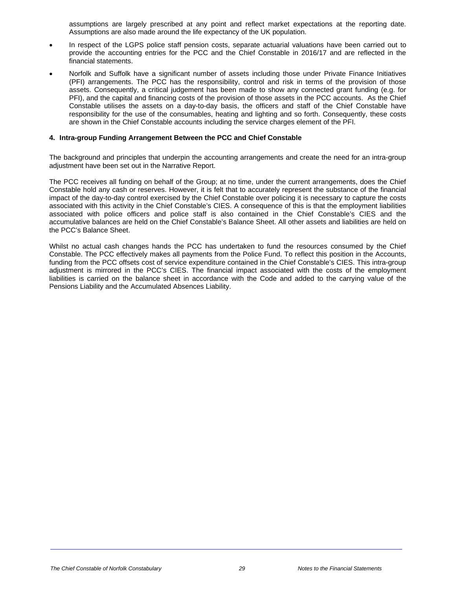assumptions are largely prescribed at any point and reflect market expectations at the reporting date. Assumptions are also made around the life expectancy of the UK population.

- In respect of the LGPS police staff pension costs, separate actuarial valuations have been carried out to provide the accounting entries for the PCC and the Chief Constable in 2016/17 and are reflected in the financial statements.
- Norfolk and Suffolk have a significant number of assets including those under Private Finance Initiatives (PFI) arrangements. The PCC has the responsibility, control and risk in terms of the provision of those assets. Consequently, a critical judgement has been made to show any connected grant funding (e.g. for PFI), and the capital and financing costs of the provision of those assets in the PCC accounts. As the Chief Constable utilises the assets on a day-to-day basis, the officers and staff of the Chief Constable have responsibility for the use of the consumables, heating and lighting and so forth. Consequently, these costs are shown in the Chief Constable accounts including the service charges element of the PFI.

#### **4. Intra-group Funding Arrangement Between the PCC and Chief Constable**

The background and principles that underpin the accounting arrangements and create the need for an intra-group adjustment have been set out in the Narrative Report.

The PCC receives all funding on behalf of the Group; at no time, under the current arrangements, does the Chief Constable hold any cash or reserves. However, it is felt that to accurately represent the substance of the financial impact of the day-to-day control exercised by the Chief Constable over policing it is necessary to capture the costs associated with this activity in the Chief Constable's CIES. A consequence of this is that the employment liabilities associated with police officers and police staff is also contained in the Chief Constable's CIES and the accumulative balances are held on the Chief Constable's Balance Sheet. All other assets and liabilities are held on the PCC's Balance Sheet.

Whilst no actual cash changes hands the PCC has undertaken to fund the resources consumed by the Chief Constable. The PCC effectively makes all payments from the Police Fund. To reflect this position in the Accounts, funding from the PCC offsets cost of service expenditure contained in the Chief Constable's CIES. This intra-group adjustment is mirrored in the PCC's CIES. The financial impact associated with the costs of the employment liabilities is carried on the balance sheet in accordance with the Code and added to the carrying value of the Pensions Liability and the Accumulated Absences Liability.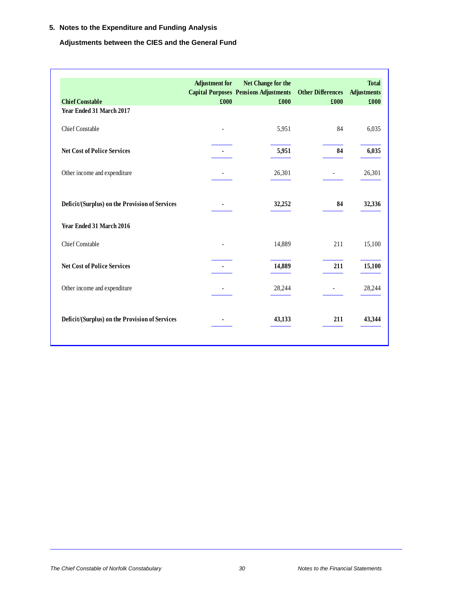### **5. Notes to the Expenditure and Funding Analysis**

### **Adjustments between the CIES and the General Fund**

| <b>Chief Constable</b><br>Year Ended 31 March 2017 | <b>Adjustment</b> for<br>£000 | Net Change for the<br><b>Capital Purposes Pensions Adjustments</b><br>£000 | <b>Other Differences</b><br>£000 | <b>Total</b><br><b>Adjustments</b><br>£000 |
|----------------------------------------------------|-------------------------------|----------------------------------------------------------------------------|----------------------------------|--------------------------------------------|
| <b>Chief Constable</b>                             |                               | 5,951                                                                      | 84                               | 6,035                                      |
| <b>Net Cost of Police Services</b>                 |                               | 5,951                                                                      | 84                               | 6,035                                      |
| Other income and expenditure                       |                               | 26,301                                                                     |                                  | 26,301                                     |
| Deficit/(Surplus) on the Provision of Services     |                               | 32,252                                                                     | 84                               | 32,336                                     |
| Year Ended 31 March 2016                           |                               |                                                                            |                                  |                                            |
| <b>Chief Constable</b>                             |                               | 14,889                                                                     | 211                              | 15,100                                     |
| <b>Net Cost of Police Services</b>                 |                               | 14,889                                                                     | 211                              | 15,100                                     |
| Other income and expenditure                       |                               | 28,244                                                                     |                                  | 28,244                                     |
| Deficit/(Surplus) on the Provision of Services     |                               | 43,133                                                                     | 211                              | 43,344                                     |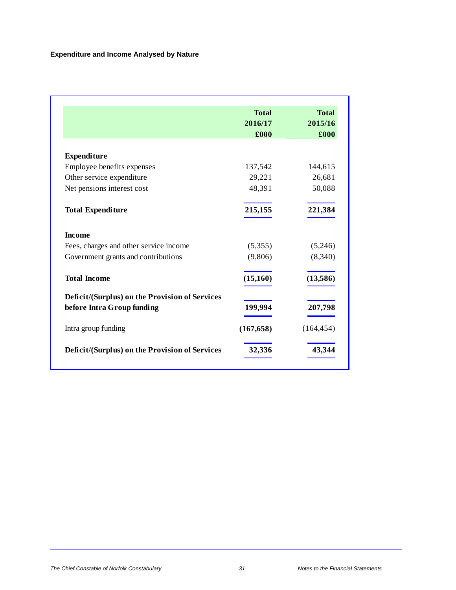|                                                | <b>Total</b><br>2016/17<br>£000 | <b>Total</b><br>2015/16<br>£000 |
|------------------------------------------------|---------------------------------|---------------------------------|
|                                                |                                 |                                 |
| <b>Expenditure</b>                             |                                 |                                 |
| Employee benefits expenses                     | 137,542                         | 144,615                         |
| Other service expenditure                      | 29,221                          | 26,681                          |
| Net pensions interest cost                     | 48,391                          | 50,088                          |
| <b>Total Expenditure</b>                       | 215,155                         | 221,384                         |
| <b>Income</b>                                  |                                 |                                 |
| Fees, charges and other service income         | (5,355)                         | (5,246)                         |
| Government grants and contributions            | (9,806)                         | (8,340)                         |
| <b>Total Income</b>                            | (15, 160)                       | (13,586)                        |
| Deficit/(Surplus) on the Provision of Services |                                 |                                 |
| before Intra Group funding                     | 199,994                         | 207,798                         |
| Intra group funding                            | (167, 658)                      | (164, 454)                      |
| Deficit/(Surplus) on the Provision of Services | 32,336                          | 43,344                          |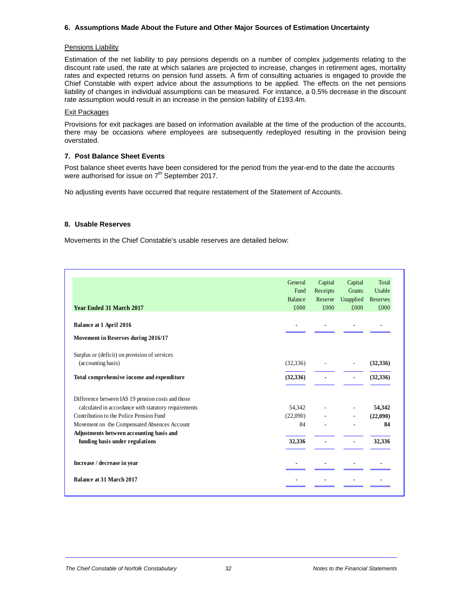#### **6. Assumptions Made About the Future and Other Major Sources of Estimation Uncertainty**

#### Pensions Liability

Estimation of the net liability to pay pensions depends on a number of complex judgements relating to the discount rate used, the rate at which salaries are projected to increase, changes in retirement ages, mortality rates and expected returns on pension fund assets. A firm of consulting actuaries is engaged to provide the Chief Constable with expert advice about the assumptions to be applied. The effects on the net pensions liability of changes in individual assumptions can be measured. For instance, a 0.5% decrease in the discount rate assumption would result in an increase in the pension liability of £193.4m.

#### Exit Packages

Provisions for exit packages are based on information available at the time of the production of the accounts, there may be occasions where employees are subsequently redeployed resulting in the provision being overstated.

#### **7. Post Balance Sheet Events**

Post balance sheet events have been considered for the period from the year-end to the date the accounts were authorised for issue on  $7<sup>th</sup>$  September 2017.

No adjusting events have occurred that require restatement of the Statement of Accounts.

#### **8. Usable Reserves**

Movements in the Chief Constable's usable reserves are detailed below:

|                                                      | General        | Capital  | Capital                  | Total     |
|------------------------------------------------------|----------------|----------|--------------------------|-----------|
|                                                      | Fund           | Receipts | Grants                   | Usable    |
|                                                      | <b>Balance</b> | Reserve  | Unapplied                | Reserves  |
| <b>Year Ended 31 March 2017</b>                      | £000           | £000     | £000                     | £000      |
| Balance at 1 April 2016                              |                |          |                          |           |
| Movement in Reserves during 2016/17                  |                |          |                          |           |
| Surplus or (deficit) on provision of services        |                |          |                          |           |
| (accounting basis)                                   | (32, 336)      |          | $\overline{\phantom{a}}$ | (32,336)  |
| Total comprehensive income and expenditure           | (32, 336)      |          | ۰                        | (32, 336) |
| Difference between IAS 19 pension costs and those    |                |          |                          |           |
| calculated in accordance with statutory requirements | 54,342         |          |                          | 54,342    |
| Contribution to the Police Pension Fund              | (22,090)       |          | $\overline{\phantom{a}}$ | (22,090)  |
| Movement on the Compensated Absences Account         | 84             |          |                          | 84        |
| Adjustments between accounting basis and             |                |          |                          |           |
| funding basis under regulations                      | 32,336         |          |                          | 32,336    |
| Increase / decrease in year                          |                |          |                          |           |
| <b>Balance at 31 March 2017</b>                      |                |          |                          |           |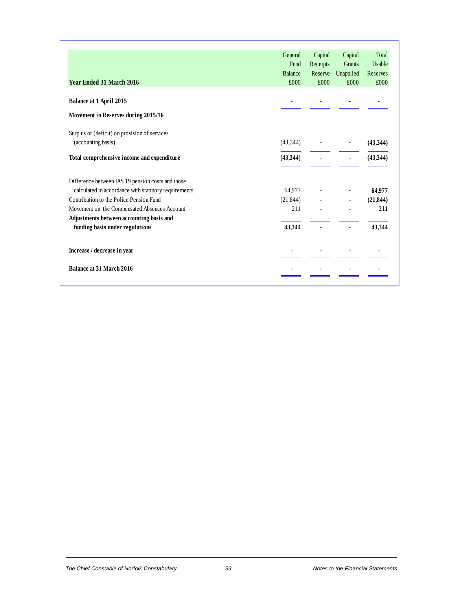|                                                                             | General<br>Fund<br><b>Balance</b> | Capital<br>Receipts<br>Reserve | Capital<br><b>Grants</b><br>Unapplied | Total<br>Usable<br>Reserves |
|-----------------------------------------------------------------------------|-----------------------------------|--------------------------------|---------------------------------------|-----------------------------|
| <b>Year Ended 31 March 2016</b>                                             | £000                              | £000                           | £000                                  | £000                        |
| Balance at 1 April 2015<br>Movement in Reserves during 2015/16              |                                   |                                |                                       |                             |
| Surplus or (deficit) on provision of services<br>(accounting basis)         | (43,344)                          |                                |                                       | (43,344)                    |
| Total comprehensive income and expenditure                                  | (43, 344)                         |                                |                                       | (43,344)                    |
| Difference between IAS 19 pension costs and those                           |                                   |                                |                                       |                             |
| calculated in accordance with statutory requirements                        | 64,977                            |                                |                                       | 64,977                      |
| Contribution to the Police Pension Fund                                     | (21, 844)                         |                                |                                       | (21, 844)                   |
| Movement on the Compensated Absences Account                                | 211                               |                                |                                       | 211                         |
| Adjustments between accounting basis and<br>funding basis under regulations | 43,344                            |                                |                                       | 43,344                      |
| Increase / decrease in year                                                 |                                   |                                |                                       |                             |
| <b>Balance at 31 March 2016</b>                                             |                                   |                                |                                       |                             |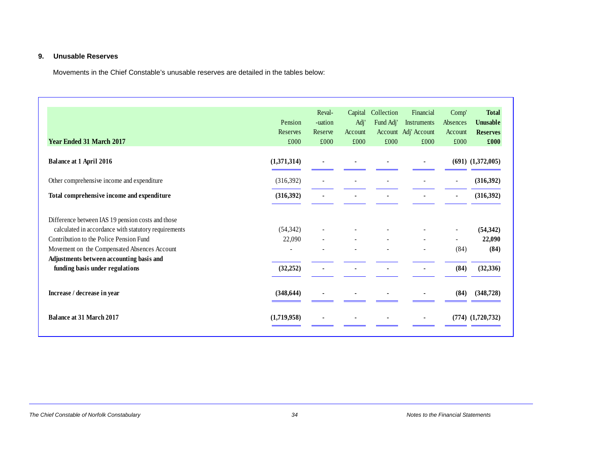#### **9. Unusable Reserves**

Movements in the Chief Constable's unusable reserves are detailed in the tables below:

| <b>Year Ended 31 March 2017</b>                                                                                                                                                                                                                  | Pension<br>Reserves<br>£000 | Reval-<br>-uation<br>Reserve<br>£000 | Capital<br>Adj'<br>Account<br>£000 | Collection<br>Fund Adj'<br>£000 | Financial<br>Instruments<br>Account Adj' Account<br>£000 | Comp'<br>Absences<br>Account<br>£000 | <b>Total</b><br><b>Unusable</b><br><b>Reserves</b><br>£000 |
|--------------------------------------------------------------------------------------------------------------------------------------------------------------------------------------------------------------------------------------------------|-----------------------------|--------------------------------------|------------------------------------|---------------------------------|----------------------------------------------------------|--------------------------------------|------------------------------------------------------------|
| <b>Balance at 1 April 2016</b>                                                                                                                                                                                                                   | (1,371,314)                 |                                      |                                    |                                 |                                                          |                                      | $(691)$ $(1,372,005)$                                      |
| Other comprehensive income and expenditure                                                                                                                                                                                                       | (316,392)                   |                                      |                                    |                                 |                                                          | $\overline{\phantom{a}}$             | (316, 392)                                                 |
| Total comprehensive income and expenditure                                                                                                                                                                                                       | (316, 392)                  |                                      |                                    |                                 |                                                          |                                      | (316, 392)                                                 |
| Difference between IAS 19 pension costs and those<br>calculated in accordance with statutory requirements<br>Contribution to the Police Pension Fund<br>Movement on the Compensated Absences Account<br>Adjustments between accounting basis and | (54, 342)<br>22,090         |                                      |                                    |                                 |                                                          | (84)                                 | (54, 342)<br>22,090<br>(84)                                |
| funding basis under regulations<br>Increase / decrease in year                                                                                                                                                                                   | (32, 252)<br>(348, 644)     |                                      |                                    |                                 |                                                          | (84)<br>(84)                         | (32, 336)<br>(348, 728)                                    |
| <b>Balance at 31 March 2017</b>                                                                                                                                                                                                                  | (1,719,958)                 |                                      |                                    |                                 |                                                          |                                      | $(774)$ $(1,720,732)$                                      |

#### *The Chief Constable of Norfolk Constabulary 34 Notes to the Financial Statements*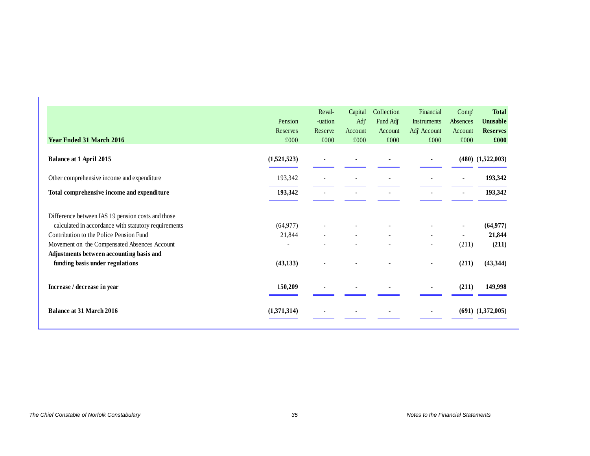| <b>Year Ended 31 March 2016</b>                      | Pension<br>Reserves<br>£000 | Reval-<br>-uation<br>Reserve<br>£000 | Capital<br>Adj'<br>Account<br>£000 | Collection<br>Fund Adj'<br>Account<br>£000 | Financial<br><b>Instruments</b><br>Adj' Account<br>£000 | Comp'<br>Absences<br>Account<br>£000 | <b>Total</b><br><b>Unusable</b><br><b>Reserves</b><br>£000 |
|------------------------------------------------------|-----------------------------|--------------------------------------|------------------------------------|--------------------------------------------|---------------------------------------------------------|--------------------------------------|------------------------------------------------------------|
| <b>Balance at 1 April 2015</b>                       | (1,521,523)                 |                                      |                                    |                                            |                                                         |                                      | $(480)$ $(1,522,003)$                                      |
| Other comprehensive income and expenditure           | 193,342                     |                                      |                                    |                                            |                                                         |                                      | 193,342                                                    |
| Total comprehensive income and expenditure           | 193,342                     |                                      |                                    |                                            |                                                         |                                      | 193,342                                                    |
| Difference between IAS 19 pension costs and those    |                             |                                      |                                    |                                            |                                                         |                                      |                                                            |
| calculated in accordance with statutory requirements | (64, 977)                   |                                      |                                    |                                            |                                                         | $\overline{\phantom{a}}$             | (64, 977)                                                  |
| Contribution to the Police Pension Fund              | 21,844                      |                                      |                                    | $\overline{\phantom{a}}$                   | $\overline{\phantom{a}}$                                | $\overline{\phantom{a}}$             | 21,844                                                     |
| Movement on the Compensated Absences Account         |                             |                                      |                                    |                                            |                                                         | (211)                                | (211)                                                      |
| Adjustments between accounting basis and             |                             |                                      |                                    |                                            |                                                         |                                      |                                                            |
| funding basis under regulations                      | (43, 133)                   |                                      |                                    |                                            |                                                         | (211)                                | (43, 344)                                                  |
| Increase / decrease in year                          | 150,209                     |                                      |                                    |                                            |                                                         | (211)                                | 149,998                                                    |
| <b>Balance at 31 March 2016</b>                      | (1,371,314)                 |                                      |                                    |                                            |                                                         |                                      | $(691)$ $(1,372,005)$                                      |

#### **The Chief Constable of Norfolk Constabulary Notes to the Financial Statements** 35 Notes to the Financial Statements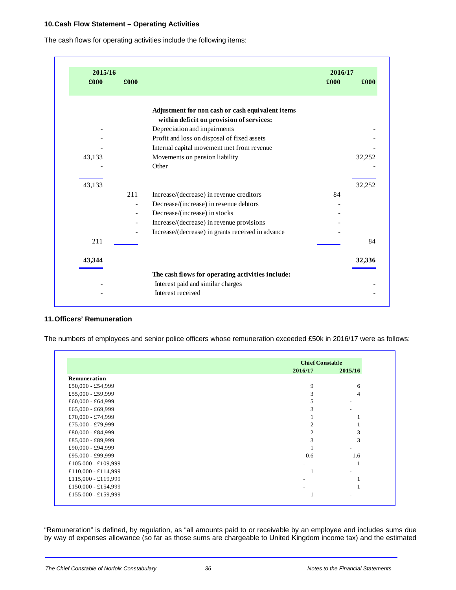#### **10. Cash Flow Statement – Operating Activities**

The cash flows for operating activities include the following items:

| 2015/16 |                          |                                                   | 2016/17 |        |
|---------|--------------------------|---------------------------------------------------|---------|--------|
| £000    | £000                     |                                                   | £000    | £000   |
|         |                          | Adjustment for non cash or cash equivalent items  |         |        |
|         |                          | within deficit on provision of services:          |         |        |
|         |                          | Depreciation and impairments                      |         |        |
|         |                          | Profit and loss on disposal of fixed assets       |         |        |
|         |                          | Internal capital movement met from revenue        |         |        |
| 43,133  |                          | Movements on pension liability                    |         | 32,252 |
|         |                          | Other                                             |         |        |
| 43,133  |                          |                                                   |         | 32,252 |
|         | 211                      | Increase/(decrease) in revenue creditors          | 84      |        |
|         |                          | Decrease/(increase) in revenue debtors            |         |        |
|         | $\overline{\phantom{a}}$ | Decrease/(increase) in stocks                     |         |        |
|         | $\overline{\phantom{a}}$ | Increase/(decrease) in revenue provisions         |         |        |
|         |                          | Increase/(decrease) in grants received in advance |         |        |
| 211     |                          |                                                   |         | 84     |
| 43,344  |                          |                                                   |         | 32,336 |
|         |                          | The cash flows for operating activities include:  |         |        |
|         |                          | Interest paid and similar charges                 |         |        |
|         |                          | Interest received                                 |         |        |

#### **11. Officers' Remuneration**

The numbers of employees and senior police officers whose remuneration exceeded £50k in 2016/17 were as follows:

|                     |         | <b>Chief Constable</b> |  |  |
|---------------------|---------|------------------------|--|--|
|                     | 2016/17 | 2015/16                |  |  |
| Remuneration        |         |                        |  |  |
| £50,000 - £54,999   | 9       | 6                      |  |  |
| £55,000 - £59,999   | 3       | 4                      |  |  |
| £60,000 - £64,999   |         |                        |  |  |
| £65,000 - £69,999   | 3       |                        |  |  |
| £70,000 - £74,999   |         |                        |  |  |
| £75,000 - £79,999   | 2       |                        |  |  |
| £80,000 - £84,999   | 2       | 3                      |  |  |
| £85,000 - £89,999   | 3       | 3                      |  |  |
| £90,000 - £94,999   |         |                        |  |  |
| £95,000 - £99,999   | 0.6     | 1.6                    |  |  |
| £105,000 - £109,999 |         |                        |  |  |
| £110,000 - £114,999 |         |                        |  |  |
| £115,000 - £119,999 |         |                        |  |  |
| £150,000 - £154,999 |         |                        |  |  |
| £155,000 - £159,999 |         |                        |  |  |

"Remuneration" is defined, by regulation, as "all amounts paid to or receivable by an employee and includes sums due by way of expenses allowance (so far as those sums are chargeable to United Kingdom income tax) and the estimated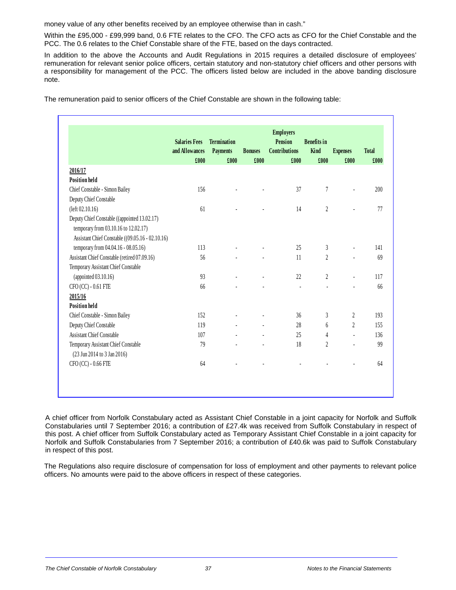money value of any other benefits received by an employee otherwise than in cash."

Within the £95,000 - £99,999 band, 0.6 FTE relates to the CFO. The CFO acts as CFO for the Chief Constable and the PCC. The 0.6 relates to the Chief Constable share of the FTE, based on the days contracted.

In addition to the above the Accounts and Audit Regulations in 2015 requires a detailed disclosure of employees' remuneration for relevant senior police officers, certain statutory and non-statutory chief officers and other persons with a responsibility for management of the PCC. The officers listed below are included in the above banding disclosure note.

The remuneration paid to senior officers of the Chief Constable are shown in the following table:

|                                                                    | <b>Salaries Fees</b><br>and Allowances<br>£000 | <b>Termination</b><br><b>Payments</b><br>£000 | <b>Bonuses</b><br>£000   | <b>Employers</b><br><b>Pension</b><br><b>Contributions</b><br>£000 | <b>Benefits</b> in<br>Kind<br>£000 | <b>Expenses</b><br>£000  | <b>Total</b><br>£000 |
|--------------------------------------------------------------------|------------------------------------------------|-----------------------------------------------|--------------------------|--------------------------------------------------------------------|------------------------------------|--------------------------|----------------------|
| 2016/17                                                            |                                                |                                               |                          |                                                                    |                                    |                          |                      |
| <b>Position held</b>                                               |                                                |                                               |                          |                                                                    |                                    |                          |                      |
| Chief Constable - Simon Bailey                                     | 156                                            |                                               | $\overline{a}$           | 37                                                                 | 7                                  | L.                       | 200                  |
| Deputy Chief Constable                                             |                                                |                                               |                          |                                                                    |                                    |                          |                      |
| (left 02.10.16)                                                    | 61                                             | $\overline{\phantom{a}}$                      | $\overline{\phantom{a}}$ | 14                                                                 | $\boldsymbol{2}$                   | $\blacksquare$           | 77                   |
| Deputy Chief Constable ((appointed 13.02.17)                       |                                                |                                               |                          |                                                                    |                                    |                          |                      |
| temporary from 03.10.16 to 12.02.17)                               |                                                |                                               |                          |                                                                    |                                    |                          |                      |
| Assistant Chief Constable ((09.05.16 - 02.10.16)                   |                                                |                                               |                          |                                                                    |                                    |                          |                      |
| temporary from 04.04.16 - 08.05.16)                                | 113                                            |                                               |                          | 25                                                                 | 3                                  | $\overline{a}$           | 141                  |
| Assistant Chief Constable (retired 07.09.16)                       | 56                                             |                                               |                          | 11                                                                 | $\overline{2}$                     | $\overline{a}$           | 69                   |
| Temporary Assistant Chief Constable                                |                                                |                                               |                          |                                                                    |                                    |                          |                      |
| (appointed $03.10.16$ )                                            | 93                                             | ÷,                                            | $\blacksquare$           | 22                                                                 | $\overline{2}$                     | $\overline{a}$           | 117                  |
| CFO (CC) - 0.61 FTE                                                | 66                                             |                                               |                          | ÷,                                                                 | ä,                                 | $\overline{\phantom{a}}$ | 66                   |
| 2015/16                                                            |                                                |                                               |                          |                                                                    |                                    |                          |                      |
| <b>Position held</b>                                               |                                                |                                               |                          |                                                                    |                                    |                          |                      |
| Chief Constable - Simon Bailey                                     | 152                                            |                                               |                          | 36                                                                 | 3                                  | $\overline{2}$           | 193                  |
| Deputy Chief Constable                                             | 119                                            |                                               |                          | 28                                                                 | 6                                  | $\overline{2}$           | 155                  |
| <b>Assistant Chief Constable</b>                                   | 107                                            |                                               | ä,                       | 25                                                                 | $\overline{4}$                     | $\blacksquare$           | 136                  |
| Temporary Assistant Chief Constable<br>(23 Jun 2014 to 3 Jan 2016) | 79                                             |                                               |                          | 18                                                                 | $\overline{2}$                     | ÷.                       | 99                   |
| CFO (CC) - 0.66 FTE                                                | 64                                             |                                               |                          |                                                                    |                                    | $\overline{a}$           | 64                   |

A chief officer from Norfolk Constabulary acted as Assistant Chief Constable in a joint capacity for Norfolk and Suffolk Constabularies until 7 September 2016; a contribution of £27.4k was received from Suffolk Constabulary in respect of this post. A chief officer from Suffolk Constabulary acted as Temporary Assistant Chief Constable in a joint capacity for Norfolk and Suffolk Constabularies from 7 September 2016; a contribution of £40.6k was paid to Suffolk Constabulary in respect of this post.

The Regulations also require disclosure of compensation for loss of employment and other payments to relevant police officers. No amounts were paid to the above officers in respect of these categories.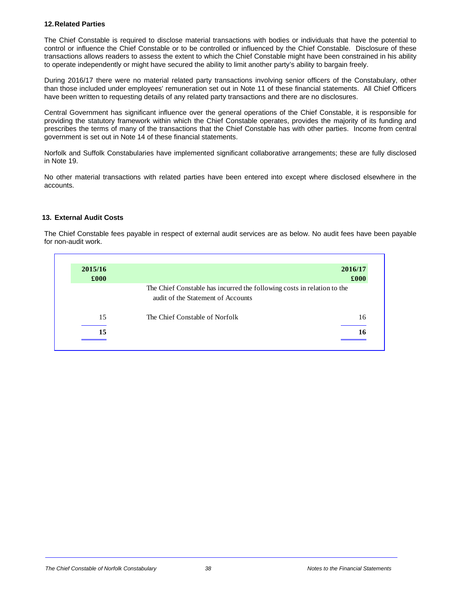#### **12. Related Parties**

The Chief Constable is required to disclose material transactions with bodies or individuals that have the potential to control or influence the Chief Constable or to be controlled or influenced by the Chief Constable. Disclosure of these transactions allows readers to assess the extent to which the Chief Constable might have been constrained in his ability to operate independently or might have secured the ability to limit another party's ability to bargain freely.

During 2016/17 there were no material related party transactions involving senior officers of the Constabulary, other than those included under employees' remuneration set out in Note 11 of these financial statements. All Chief Officers have been written to requesting details of any related party transactions and there are no disclosures.

Central Government has significant influence over the general operations of the Chief Constable, it is responsible for providing the statutory framework within which the Chief Constable operates, provides the majority of its funding and prescribes the terms of many of the transactions that the Chief Constable has with other parties. Income from central government is set out in Note 14 of these financial statements.

Norfolk and Suffolk Constabularies have implemented significant collaborative arrangements; these are fully disclosed in Note 19.

No other material transactions with related parties have been entered into except where disclosed elsewhere in the accounts.

#### **13. External Audit Costs**

The Chief Constable fees payable in respect of external audit services are as below. No audit fees have been payable for non-audit work.

| 2015/16<br>£000 |                                                                                                               | 2016/17<br>£000 |
|-----------------|---------------------------------------------------------------------------------------------------------------|-----------------|
|                 | The Chief Constable has incurred the following costs in relation to the<br>audit of the Statement of Accounts |                 |
| 15              | The Chief Constable of Norfolk                                                                                | 16              |
| 15              |                                                                                                               | 16              |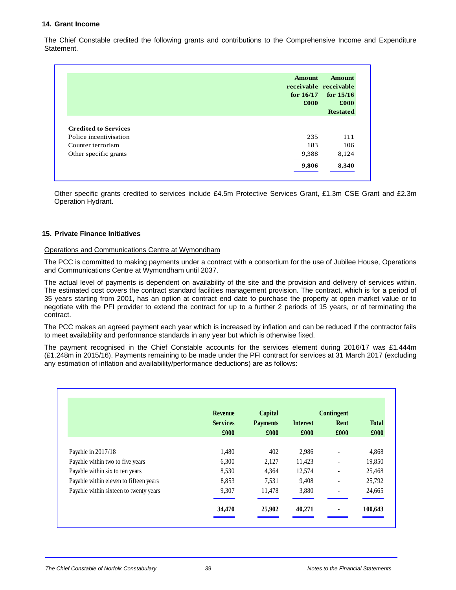#### **14. Grant Income**

The Chief Constable credited the following grants and contributions to the Comprehensive Income and Expenditure Statement.

|                             | <b>Amount</b><br>receivable receivable<br>for $16/17$<br>£000 | <b>Amount</b><br>for $15/16$<br>£000<br><b>Restated</b> |
|-----------------------------|---------------------------------------------------------------|---------------------------------------------------------|
|                             |                                                               |                                                         |
| <b>Credited to Services</b> |                                                               |                                                         |
| Police incentivisation      | 235                                                           | 111                                                     |
| Counter terrorism           | 183                                                           | 106                                                     |
| Other specific grants       | 9,388                                                         | 8,124                                                   |
|                             |                                                               |                                                         |

Other specific grants credited to services include £4.5m Protective Services Grant, £1.3m CSE Grant and £2.3m Operation Hydrant.

#### **15. Private Finance Initiatives**

#### Operations and Communications Centre at Wymondham

The PCC is committed to making payments under a contract with a consortium for the use of Jubilee House, Operations and Communications Centre at Wymondham until 2037.

The actual level of payments is dependent on availability of the site and the provision and delivery of services within. The estimated cost covers the contract standard facilities management provision. The contract, which is for a period of 35 years starting from 2001, has an option at contract end date to purchase the property at open market value or to negotiate with the PFI provider to extend the contract for up to a further 2 periods of 15 years, or of terminating the contract.

The PCC makes an agreed payment each year which is increased by inflation and can be reduced if the contractor fails to meet availability and performance standards in any year but which is otherwise fixed.

The payment recognised in the Chief Constable accounts for the services element during 2016/17 was £1.444m (£1.248m in 2015/16). Payments remaining to be made under the PFI contract for services at 31 March 2017 (excluding any estimation of inflation and availability/performance deductions) are as follows:

|                                        | <b>Revenue</b>          | Capital                 |                         | Contingent                   |                      |
|----------------------------------------|-------------------------|-------------------------|-------------------------|------------------------------|----------------------|
|                                        | <b>Services</b><br>£000 | <b>Payments</b><br>£000 | <b>Interest</b><br>£000 | Rent<br>£000                 | <b>Total</b><br>£000 |
| Payable in 2017/18                     | 1.480                   | 402                     | 2,986                   | $\blacksquare$               | 4,868                |
| Payable within two to five years       | 6,300                   | 2,127                   | 11,423                  |                              | 19,850               |
| Payable within six to ten years        | 8,530                   | 4,364                   | 12,574                  | ٠                            | 25,468               |
| Payable within eleven to fifteen years | 8,853                   | 7,531                   | 9,408                   |                              | 25,792               |
| Payable within sixteen to twenty years | 9,307                   | 11,478                  | 3,880                   | $\qquad \qquad \blacksquare$ | 24,665               |
|                                        | 34,470                  | 25,902                  | 40,271                  |                              | 100,643              |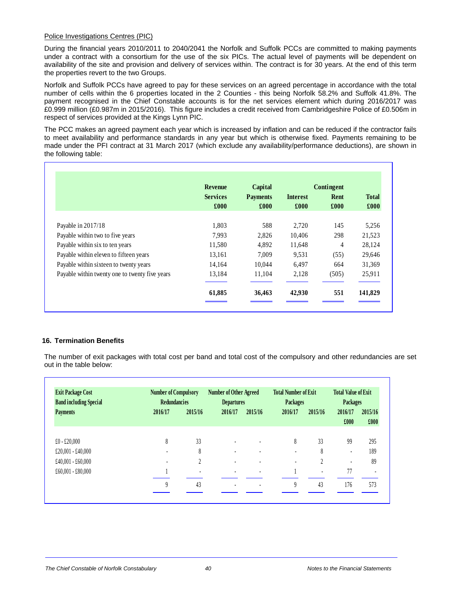#### Police Investigations Centres (PIC)

During the financial years 2010/2011 to 2040/2041 the Norfolk and Suffolk PCCs are committed to making payments under a contract with a consortium for the use of the six PICs. The actual level of payments will be dependent on availability of the site and provision and delivery of services within. The contract is for 30 years. At the end of this term the properties revert to the two Groups.

Norfolk and Suffolk PCCs have agreed to pay for these services on an agreed percentage in accordance with the total number of cells within the 6 properties located in the 2 Counties - this being Norfolk 58.2% and Suffolk 41.8%. The payment recognised in the Chief Constable accounts is for the net services element which during 2016/2017 was £0.999 million (£0.987m in 2015/2016). This figure includes a credit received from Cambridgeshire Police of £0.506m in respect of services provided at the Kings Lynn PIC.

The PCC makes an agreed payment each year which is increased by inflation and can be reduced if the contractor fails to meet availability and performance standards in any year but which is otherwise fixed. Payments remaining to be made under the PFI contract at 31 March 2017 (which exclude any availability/performance deductions), are shown in the following table:

|                                                | <b>Revenue</b>  | Capital         |                 | Contingent |              |
|------------------------------------------------|-----------------|-----------------|-----------------|------------|--------------|
|                                                | <b>Services</b> | <b>Payments</b> | <b>Interest</b> | Rent       | <b>Total</b> |
|                                                | £000            | £000            | £000            | £000       | £000         |
| Payable in 2017/18                             | 1,803           | 588             | 2,720           | 145        | 5,256        |
| Payable within two to five years               | 7,993           | 2,826           | 10,406          | 298        | 21,523       |
| Payable within six to ten years                | 11,580          | 4,892           | 11,648          | 4          | 28,124       |
| Payable within eleven to fifteen years         | 13,161          | 7,009           | 9.531           | (55)       | 29,646       |
| Payable within sixteen to twenty years         | 14,164          | 10.044          | 6.497           | 664        | 31,369       |
| Payable within twenty one to twenty five years | 13,184          | 11,104          | 2,128           | (505)      | 25,911       |
|                                                | 61,885          | 36,463          | 42,930          | 551        | 141,829      |

#### **16. Termination Benefits**

The number of exit packages with total cost per band and total cost of the compulsory and other redundancies are set out in the table below:

| <b>Exit Package Cost</b><br><b>Band including Special</b> |                          | <b>Number of Compulsory</b><br><b>Redundancies</b> |         | Number of Other Agreed<br><b>Departures</b> |         | <b>Total Number of Exit</b><br><b>Packages</b> | <b>Total Value of Exit</b><br>Packages |                |
|-----------------------------------------------------------|--------------------------|----------------------------------------------------|---------|---------------------------------------------|---------|------------------------------------------------|----------------------------------------|----------------|
| <b>Payments</b>                                           | 2016/17                  | 2015/16                                            | 2016/17 | 2015/16                                     | 2016/17 | 2015/16                                        | 2016/17                                | 2015/16        |
|                                                           |                          |                                                    |         |                                             |         |                                                | £000                                   | £000           |
| $£0 - £20,000$                                            | 8                        | 33                                                 |         |                                             | 8       | 33                                             | 99                                     | 295            |
| £20,001 - £40,000                                         | ٠                        | 8                                                  | ٠       |                                             |         | 8                                              |                                        | 189            |
| £40,001 - £60,000                                         | $\overline{\phantom{a}}$ | 2                                                  | ٠       |                                             |         | 2                                              |                                        | 89             |
| $£60,001 - £80,000$                                       |                          |                                                    |         |                                             |         | $\blacksquare$                                 | 77                                     | $\blacksquare$ |
|                                                           | $\boldsymbol{Q}$         | 43                                                 | ۰       | ٠                                           | 9       | 43                                             | 176                                    | 573            |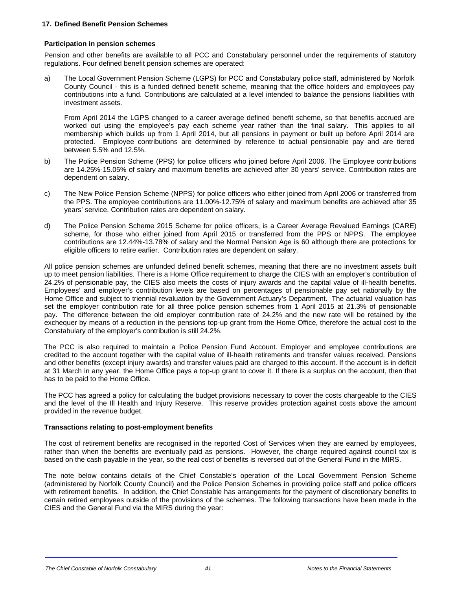#### **17. Defined Benefit Pension Schemes**

#### **Participation in pension schemes**

Pension and other benefits are available to all PCC and Constabulary personnel under the requirements of statutory regulations. Four defined benefit pension schemes are operated:

a) The Local Government Pension Scheme (LGPS) for PCC and Constabulary police staff, administered by Norfolk County Council - this is a funded defined benefit scheme, meaning that the office holders and employees pay contributions into a fund. Contributions are calculated at a level intended to balance the pensions liabilities with investment assets.

 From April 2014 the LGPS changed to a career average defined benefit scheme, so that benefits accrued are worked out using the employee's pay each scheme year rather than the final salary. This applies to all membership which builds up from 1 April 2014, but all pensions in payment or built up before April 2014 are protected. Employee contributions are determined by reference to actual pensionable pay and are tiered between 5.5% and 12.5%.

- b) The Police Pension Scheme (PPS) for police officers who joined before April 2006. The Employee contributions are 14.25%-15.05% of salary and maximum benefits are achieved after 30 years' service. Contribution rates are dependent on salary.
- c) The New Police Pension Scheme (NPPS) for police officers who either joined from April 2006 or transferred from the PPS. The employee contributions are 11.00%-12.75% of salary and maximum benefits are achieved after 35 years' service. Contribution rates are dependent on salary.
- d) The Police Pension Scheme 2015 Scheme for police officers, is a Career Average Revalued Earnings (CARE) scheme, for those who either joined from April 2015 or transferred from the PPS or NPPS. The employee contributions are 12.44%-13.78% of salary and the Normal Pension Age is 60 although there are protections for eligible officers to retire earlier. Contribution rates are dependent on salary.

All police pension schemes are unfunded defined benefit schemes, meaning that there are no investment assets built up to meet pension liabilities. There is a Home Office requirement to charge the CIES with an employer's contribution of 24.2% of pensionable pay, the CIES also meets the costs of injury awards and the capital value of ill-health benefits. Employees' and employer's contribution levels are based on percentages of pensionable pay set nationally by the Home Office and subject to triennial revaluation by the Government Actuary's Department. The actuarial valuation has set the employer contribution rate for all three police pension schemes from 1 April 2015 at 21.3% of pensionable pay. The difference between the old employer contribution rate of 24.2% and the new rate will be retained by the exchequer by means of a reduction in the pensions top-up grant from the Home Office, therefore the actual cost to the Constabulary of the employer's contribution is still 24.2%.

The PCC is also required to maintain a Police Pension Fund Account. Employer and employee contributions are credited to the account together with the capital value of ill-health retirements and transfer values received. Pensions and other benefits (except injury awards) and transfer values paid are charged to this account. If the account is in deficit at 31 March in any year, the Home Office pays a top-up grant to cover it. If there is a surplus on the account, then that has to be paid to the Home Office.

The PCC has agreed a policy for calculating the budget provisions necessary to cover the costs chargeable to the CIES and the level of the Ill Health and Injury Reserve. This reserve provides protection against costs above the amount provided in the revenue budget.

#### **Transactions relating to post-employment benefits**

The cost of retirement benefits are recognised in the reported Cost of Services when they are earned by employees, rather than when the benefits are eventually paid as pensions. However, the charge required against council tax is based on the cash payable in the year, so the real cost of benefits is reversed out of the General Fund in the MIRS.

The note below contains details of the Chief Constable's operation of the Local Government Pension Scheme (administered by Norfolk County Council) and the Police Pension Schemes in providing police staff and police officers with retirement benefits. In addition, the Chief Constable has arrangements for the payment of discretionary benefits to certain retired employees outside of the provisions of the schemes. The following transactions have been made in the CIES and the General Fund via the MIRS during the year:

#### **The Chief Constable of Norfolk Constabulary 1996** 1997 12:00 12:00 13:00 14:00 12:00 12:00 12:00 12:00 12:00 12:00 12:00 12:00 12:00 12:00 12:00 12:00 12:00 12:00 12:00 12:00 12:00 12:00 12:00 12:00 12:00 12:00 12:00 12:0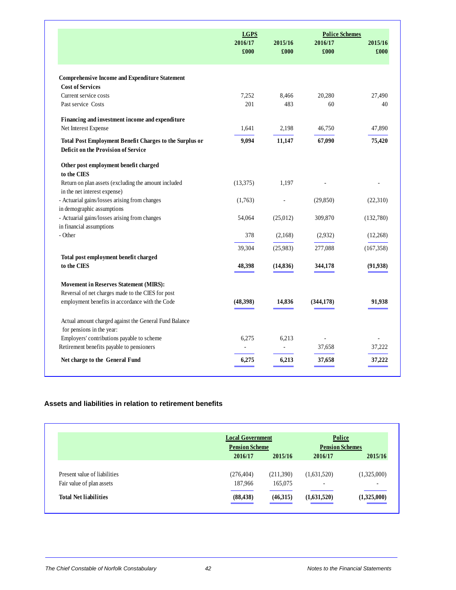|                                                                                                | <b>LGPS</b> |           | <b>Police Schemes</b> |            |
|------------------------------------------------------------------------------------------------|-------------|-----------|-----------------------|------------|
|                                                                                                | 2016/17     | 2015/16   | 2016/17               | 2015/16    |
|                                                                                                | £000        | £000      | £000                  | £000       |
| <b>Comprehensive Income and Expenditure Statement</b>                                          |             |           |                       |            |
| <b>Cost of Services</b>                                                                        |             |           |                       |            |
| Current service costs                                                                          | 7,252       | 8,466     | 20,280                | 27.490     |
| Past service Costs                                                                             | 201         | 483       | 60                    | 40         |
| Financing and investment income and expenditure                                                |             |           |                       |            |
| Net Interest Expense                                                                           | 1,641       | 2,198     | 46,750                | 47,890     |
| Total Post Employment Benefit Charges to the Surplus or<br>Deficit on the Provision of Service | 9,094       | 11,147    | 67,090                | 75,420     |
| Other post employment benefit charged<br>to the CIES                                           |             |           |                       |            |
| Return on plan assets (excluding the amount included                                           | (13,375)    | 1,197     |                       |            |
| in the net interest expense)                                                                   |             |           |                       |            |
| - Actuarial gains/losses arising from changes                                                  | (1,763)     |           | (29, 850)             | (22,310)   |
| in demographic assumptions                                                                     |             |           |                       |            |
| - Actuarial gains/losses arising from changes                                                  | 54,064      | (25,012)  | 309,870               | (132,780)  |
| in financial assumptions                                                                       |             |           |                       |            |
| - Other                                                                                        | 378         | (2,168)   | (2,932)               | (12,268)   |
|                                                                                                | 39,304      | (25,983)  | 277,088               | (167, 358) |
| Total post employment benefit charged                                                          |             |           |                       |            |
| to the CIES                                                                                    | 48,398      | (14, 836) | 344,178               | (91, 938)  |
| <b>Movement in Reserves Statement (MIRS):</b>                                                  |             |           |                       |            |
| Reversal of net charges made to the CIES for post                                              |             |           |                       |            |
| employment benefits in accordance with the Code                                                | (48,398)    | 14,836    | (344, 178)            | 91,938     |
| Actual amount charged against the General Fund Balance                                         |             |           |                       |            |
| for pensions in the year:                                                                      |             |           |                       |            |
| Employers' contributions payable to scheme                                                     | 6,275       | 6,213     |                       |            |
| Retirement benefits payable to pensioners                                                      |             |           | 37,658                | 37,222     |
| Net charge to the General Fund                                                                 | 6,275       | 6,213     | 37,658                | 37,222     |

#### **Assets and liabilities in relation to retirement benefits**

|                              |                       | <b>Local Government</b> |                          | <b>Police</b>            |
|------------------------------|-----------------------|-------------------------|--------------------------|--------------------------|
|                              | <b>Pension Scheme</b> |                         | <b>Pension Schemes</b>   |                          |
|                              | 2016/17               | 2015/16                 | 2016/17                  | 2015/16                  |
| Present value of liabilities | (276, 404)            | (211,390)               | (1,631,520)              | (1,325,000)              |
| Fair value of plan assets    | 187,966               | 165,075                 | $\overline{\phantom{a}}$ | $\overline{\phantom{a}}$ |
| <b>Total Net liabilities</b> | (88, 438)             | (46,315)                | (1,631,520)              | (1,325,000)              |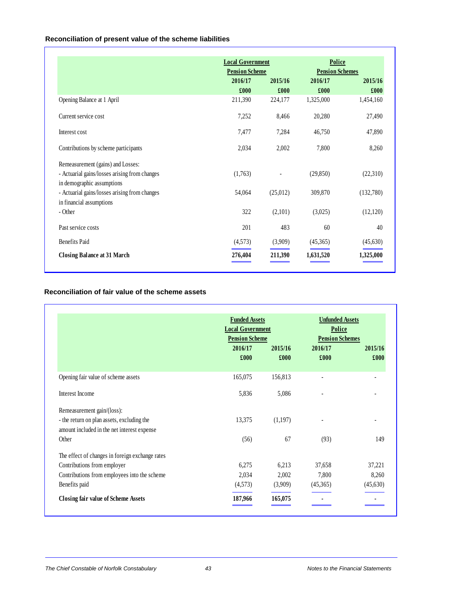### **Reconciliation of present value of the scheme liabilities**

|                                               | <b>Local Government</b> |          | Police                 |           |
|-----------------------------------------------|-------------------------|----------|------------------------|-----------|
|                                               | <b>Pension Scheme</b>   |          | <b>Pension Schemes</b> |           |
|                                               | 2016/17                 | 2015/16  | 2016/17                | 2015/16   |
|                                               | £000                    | £000     | £000                   | £000      |
| Opening Balance at 1 April                    | 211,390                 | 224,177  | 1,325,000              | 1,454,160 |
| Current service cost                          | 7,252                   | 8,466    | 20,280                 | 27,490    |
| Interest cost                                 | 7,477                   | 7,284    | 46,750                 | 47,890    |
| Contributions by scheme participants          | 2,034                   | 2,002    | 7,800                  | 8,260     |
| Remeasurement (gains) and Losses:             |                         |          |                        |           |
| - Actuarial gains/losses arising from changes | (1,763)                 |          | (29, 850)              | (22,310)  |
| in demographic assumptions                    |                         |          |                        |           |
| - Actuarial gains/losses arising from changes | 54,064                  | (25,012) | 309,870                | (132,780) |
| in financial assumptions                      |                         |          |                        |           |
| - Other                                       | 322                     | (2,101)  | (3,025)                | (12,120)  |
| Past service costs                            | 201                     | 483      | 60                     | 40        |
| <b>Benefits Paid</b>                          | (4,573)                 | (3,909)  | (45,365)               | (45,630)  |
| <b>Closing Balance at 31 March</b>            | 276,404                 | 211,390  | 1,631,520              | 1,325,000 |

### **Reconciliation of fair value of the scheme assets**

|                                                                                           | <b>Funded Assets</b><br><b>Local Government</b><br><b>Pension Scheme</b> |                 | <b>Unfunded Assets</b><br>Police<br><b>Pension Schemes</b> |                 |
|-------------------------------------------------------------------------------------------|--------------------------------------------------------------------------|-----------------|------------------------------------------------------------|-----------------|
|                                                                                           | 2016/17<br>£000                                                          | 2015/16<br>£000 | 2016/17<br>£000                                            | 2015/16<br>£000 |
| Opening fair value of scheme assets                                                       | 165,075                                                                  | 156,813         |                                                            |                 |
| Interest Income                                                                           | 5,836                                                                    | 5,086           |                                                            |                 |
| Remeasurement gain/(loss):                                                                |                                                                          |                 |                                                            |                 |
| - the return on plan assets, excluding the<br>amount included in the net interest expense | 13,375                                                                   | (1,197)         |                                                            |                 |
| Other                                                                                     | (56)                                                                     | 67              | (93)                                                       | 149             |
| The effect of changes in foreign exchange rates                                           |                                                                          |                 |                                                            |                 |
| Contributions from employer                                                               | 6,275                                                                    | 6,213           | 37,658                                                     | 37,221          |
| Contributions from employees into the scheme                                              | 2,034                                                                    | 2,002           | 7,800                                                      | 8,260           |
| Benefits paid                                                                             | (4,573)                                                                  | (3,909)         | (45,365)                                                   | (45,630)        |
| <b>Closing fair value of Scheme Assets</b>                                                | 187,966                                                                  | 165,075         |                                                            |                 |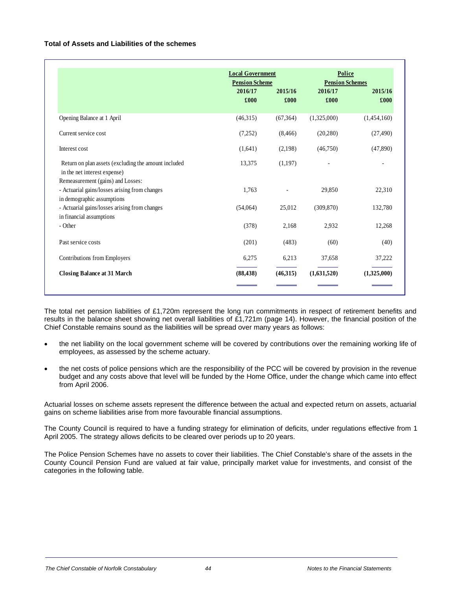#### **Total of Assets and Liabilities of the schemes**

|                                                                                                                  | <b>Local Government</b><br><b>Pension Scheme</b><br>2016/17<br>£000 | 2015/16<br>£000 | Police<br><b>Pension Schemes</b><br>2016/17<br>£000 | 2015/16<br>£000 |
|------------------------------------------------------------------------------------------------------------------|---------------------------------------------------------------------|-----------------|-----------------------------------------------------|-----------------|
| Opening Balance at 1 April                                                                                       | (46,315)                                                            | (67, 364)       | (1,325,000)                                         | (1,454,160)     |
| Current service cost                                                                                             | (7,252)                                                             | (8, 466)        | (20, 280)                                           | (27, 490)       |
| Interest cost                                                                                                    | (1,641)                                                             | (2,198)         | (46,750)                                            | (47,890)        |
| Return on plan assets (excluding the amount included<br>in the net interest expense)                             | 13,375                                                              | (1,197)         |                                                     |                 |
| Remeasurement (gains) and Losses:<br>- Actuarial gains/losses arising from changes<br>in demographic assumptions | 1.763                                                               |                 | 29,850                                              | 22,310          |
| - Actuarial gains/losses arising from changes<br>in financial assumptions                                        | (54,064)                                                            | 25,012          | (309, 870)                                          | 132,780         |
| - Other                                                                                                          | (378)                                                               | 2,168           | 2,932                                               | 12,268          |
| Past service costs                                                                                               | (201)                                                               | (483)           | (60)                                                | (40)            |
| Contributions from Employers                                                                                     | 6,275                                                               | 6,213           | 37,658                                              | 37,222          |
| <b>Closing Balance at 31 March</b>                                                                               | (88, 438)                                                           | (46,315)        | (1,631,520)                                         | (1,325,000)     |

The total net pension liabilities of £1,720m represent the long run commitments in respect of retirement benefits and results in the balance sheet showing net overall liabilities of £1,721m (page 14). However, the financial position of the Chief Constable remains sound as the liabilities will be spread over many years as follows:

- the net liability on the local government scheme will be covered by contributions over the remaining working life of employees, as assessed by the scheme actuary.
- the net costs of police pensions which are the responsibility of the PCC will be covered by provision in the revenue budget and any costs above that level will be funded by the Home Office, under the change which came into effect from April 2006.

Actuarial losses on scheme assets represent the difference between the actual and expected return on assets, actuarial gains on scheme liabilities arise from more favourable financial assumptions.

The County Council is required to have a funding strategy for elimination of deficits, under regulations effective from 1 April 2005. The strategy allows deficits to be cleared over periods up to 20 years.

The Police Pension Schemes have no assets to cover their liabilities. The Chief Constable's share of the assets in the County Council Pension Fund are valued at fair value, principally market value for investments, and consist of the categories in the following table.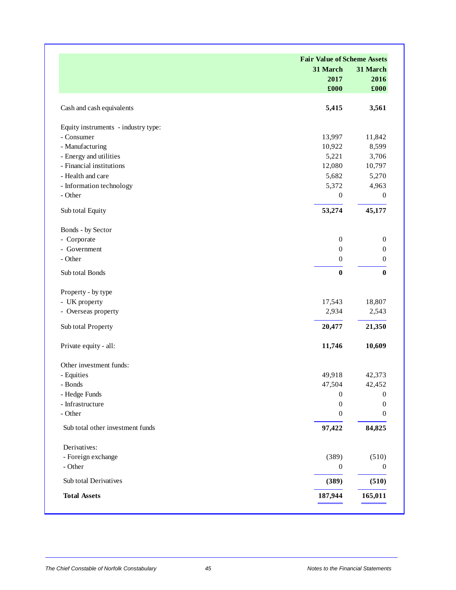|                                     | <b>Fair Value of Scheme Assets</b> |                  |  |
|-------------------------------------|------------------------------------|------------------|--|
|                                     | 31 March                           | 31 March         |  |
|                                     | 2017                               | 2016             |  |
|                                     | £000                               | £000             |  |
| Cash and cash equivalents           | 5,415                              | 3,561            |  |
| Equity instruments - industry type: |                                    |                  |  |
| - Consumer                          | 13,997                             | 11,842           |  |
| - Manufacturing                     | 10,922                             | 8,599            |  |
| - Energy and utilities              | 5,221                              | 3,706            |  |
| - Financial institutions            | 12,080                             | 10,797           |  |
| - Health and care                   | 5,682                              | 5,270            |  |
| - Information technology            | 5,372                              | 4,963            |  |
| - Other                             | $\boldsymbol{0}$                   | $\mathbf{0}$     |  |
| Sub total Equity                    | 53,274                             | 45,177           |  |
| Bonds - by Sector                   |                                    |                  |  |
| - Corporate                         | $\boldsymbol{0}$                   | $\mathbf{0}$     |  |
| - Government                        | $\boldsymbol{0}$                   | $\boldsymbol{0}$ |  |
| - Other                             | $\mathbf{0}$                       | $\mathbf{0}$     |  |
| Sub total Bonds                     | $\bf{0}$                           | $\mathbf{0}$     |  |
| Property - by type                  |                                    |                  |  |
| - UK property                       | 17,543                             | 18,807           |  |
| - Overseas property                 | 2,934                              | 2,543            |  |
| Sub total Property                  | 20,477                             | 21,350           |  |
| Private equity - all:               | 11,746                             | 10,609           |  |
| Other investment funds:             |                                    |                  |  |
| - Equities                          | 49,918                             | 42,373           |  |
| - Bonds                             | 47,504                             | 42,452           |  |
| - Hedge Funds                       | $\mathbf{0}$                       | $\Omega$         |  |
| $\mbox{-}\,$ Infrastructure         | $\boldsymbol{0}$                   | 0                |  |
| - Other                             | $\boldsymbol{0}$                   | 0                |  |
| Sub total other investment funds    | 97,422                             | 84,825           |  |
| Derivatives:                        |                                    |                  |  |
| - Foreign exchange                  | (389)                              | (510)            |  |
| - Other                             | $\boldsymbol{0}$                   | $\overline{0}$   |  |
| Sub total Derivatives               | (389)                              | (510)            |  |
| <b>Total Assets</b>                 | 187,944                            | 165,011          |  |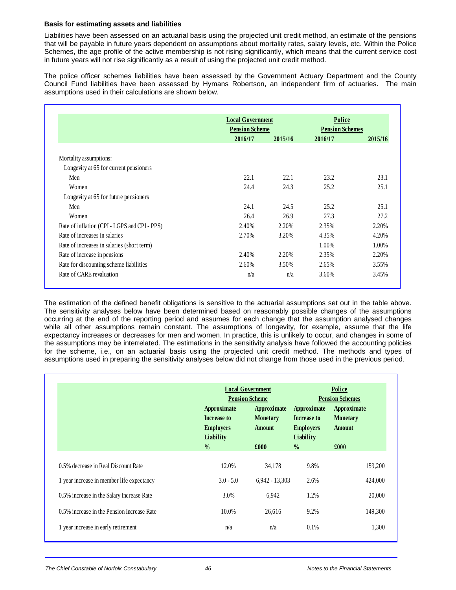#### **Basis for estimating assets and liabilities**

Liabilities have been assessed on an actuarial basis using the projected unit credit method, an estimate of the pensions that will be payable in future years dependent on assumptions about mortality rates, salary levels, etc. Within the Police Schemes, the age profile of the active membership is not rising significantly, which means that the current service cost in future years will not rise significantly as a result of using the projected unit credit method.

The police officer schemes liabilities have been assessed by the Government Actuary Department and the County Council Fund liabilities have been assessed by Hymans Robertson, an independent firm of actuaries. The main assumptions used in their calculations are shown below.

|                                              | <b>Local Government</b>          |         | Police                            |         |  |
|----------------------------------------------|----------------------------------|---------|-----------------------------------|---------|--|
|                                              | <b>Pension Scheme</b><br>2016/17 | 2015/16 | <b>Pension Schemes</b><br>2016/17 | 2015/16 |  |
|                                              |                                  |         |                                   |         |  |
| Mortality assumptions:                       |                                  |         |                                   |         |  |
| Longevity at 65 for current pensioners       |                                  |         |                                   |         |  |
| Men                                          | 22.1                             | 22.1    | 23.2                              | 23.1    |  |
| Women                                        | 24.4                             | 24.3    | 25.2                              | 25.1    |  |
| Longevity at 65 for future pensioners        |                                  |         |                                   |         |  |
| Men                                          | 24.1                             | 24.5    | 25.2                              | 25.1    |  |
| Women                                        | 26.4                             | 26.9    | 27.3                              | 27.2    |  |
| Rate of inflation (CPI - LGPS and CPI - PPS) | 2.40%                            | 2.20%   | 2.35%                             | 2.20%   |  |
| Rate of increases in salaries                | 2.70%                            | 3.20%   | 4.35%                             | 4.20%   |  |
| Rate of increases in salaries (short term)   |                                  |         | 1.00%                             | 1.00%   |  |
| Rate of increase in pensions                 | 2.40%                            | 2.20%   | 2.35%                             | 2.20%   |  |
| Rate for discounting scheme liabilities      | 2.60%                            | 3.50%   | 2.65%                             | 3.55%   |  |
| Rate of CARE revaluation                     | n/a                              | n/a     | 3.60%                             | 3.45%   |  |

The estimation of the defined benefit obligations is sensitive to the actuarial assumptions set out in the table above. The sensitivity analyses below have been determined based on reasonably possible changes of the assumptions occurring at the end of the reporting period and assumes for each change that the assumption analysed changes while all other assumptions remain constant. The assumptions of longevity, for example, assume that the life expectancy increases or decreases for men and women. In practice, this is unlikely to occur, and changes in some of the assumptions may be interrelated. The estimations in the sensitivity analysis have followed the accounting policies for the scheme, i.e., on an actuarial basis using the projected unit credit method. The methods and types of assumptions used in preparing the sensitivity analyses below did not change from those used in the previous period.

|                                            |                                                             | <b>Local Government</b><br><b>Pension Scheme</b> |                                                             | <b>Police</b><br><b>Pension Schemes</b>         |
|--------------------------------------------|-------------------------------------------------------------|--------------------------------------------------|-------------------------------------------------------------|-------------------------------------------------|
|                                            | Approximate<br>Increase to<br><b>Employers</b><br>Liability | Approximate<br><b>Monetary</b><br><b>Amount</b>  | Approximate<br>Increase to<br><b>Employers</b><br>Liability | Approximate<br><b>Monetary</b><br><b>Amount</b> |
|                                            | $\frac{0}{0}$                                               | £000                                             | $\frac{0}{0}$                                               | £000                                            |
| 0.5% decrease in Real Discount Rate        | 12.0%                                                       | 34,178                                           | 9.8%                                                        | 159,200                                         |
| 1 year increase in member life expectancy  | $3.0 - 5.0$                                                 | $6.942 - 13.303$                                 | 2.6%                                                        | 424,000                                         |
| 0.5% increase in the Salary Increase Rate  | 3.0%                                                        | 6,942                                            | 1.2%                                                        | 20,000                                          |
| 0.5% increase in the Pension Increase Rate | $10.0\%$                                                    | 26,616                                           | 9.2%                                                        | 149,300                                         |
| 1 year increase in early retirement        | n/a                                                         | n/a                                              | 0.1%                                                        | 1,300                                           |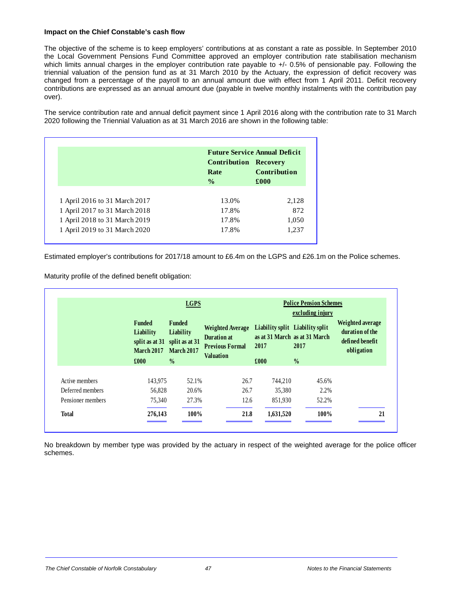#### **Impact on the Chief Constable's cash flow**

The objective of the scheme is to keep employers' contributions at as constant a rate as possible. In September 2010 the Local Government Pensions Fund Committee approved an employer contribution rate stabilisation mechanism which limits annual charges in the employer contribution rate payable to +/- 0.5% of pensionable pay. Following the triennial valuation of the pension fund as at 31 March 2010 by the Actuary, the expression of deficit recovery was changed from a percentage of the payroll to an annual amount due with effect from 1 April 2011. Deficit recovery contributions are expressed as an annual amount due (payable in twelve monthly instalments with the contribution pay over).

The service contribution rate and annual deficit payment since 1 April 2016 along with the contribution rate to 31 March 2020 following the Triennial Valuation as at 31 March 2016 are shown in the following table:

|                               | <b>Future Service Annual Deficit</b>                  |                             |  |  |
|-------------------------------|-------------------------------------------------------|-----------------------------|--|--|
|                               | <b>Contribution Recovery</b><br>Rate<br>$\frac{0}{0}$ | <b>Contribution</b><br>£000 |  |  |
| 1 April 2016 to 31 March 2017 | 13.0%                                                 | 2,128                       |  |  |
| 1 April 2017 to 31 March 2018 | 17.8%                                                 | 872                         |  |  |
| 1 April 2018 to 31 March 2019 | 17.8%                                                 | 1,050                       |  |  |
| 1 April 2019 to 31 March 2020 | 17.8%                                                 | 1,237                       |  |  |

Estimated employer's contributions for 2017/18 amount to £6.4m on the LGPS and £26.1m on the Police schemes.

Maturity profile of the defined benefit obligation:

|                   |                                                                                      | <b>LGPS</b>                              |                                                                                             |                                         | <b>Police Pension Schemes</b><br>excluding injury |                                                                      |
|-------------------|--------------------------------------------------------------------------------------|------------------------------------------|---------------------------------------------------------------------------------------------|-----------------------------------------|---------------------------------------------------|----------------------------------------------------------------------|
|                   | <b>Funded</b><br>Liability<br>split as at $31$ split as at $31$<br><b>March 2017</b> | Funded<br>Liability<br><b>March 2017</b> | <b>Weighted Average</b><br><b>Duration at</b><br><b>Previous Formal</b><br><b>Valuation</b> | Liability split Liability split<br>2017 | as at 31 March as at 31 March<br>2017             | Weighted average<br>duration of the<br>defined benefit<br>obligation |
|                   | £000                                                                                 | $\frac{0}{0}$                            |                                                                                             | £000                                    | $\frac{0}{0}$                                     |                                                                      |
| Active members    | 143.975                                                                              | 52.1%                                    | 26.7                                                                                        | 744.210                                 | 45.6%                                             |                                                                      |
| Deferred members  | 56,828                                                                               | 20.6%                                    | 26.7                                                                                        | 35,380                                  | 2.2%                                              |                                                                      |
| Pensioner members | 75,340                                                                               | 27.3%                                    | 12.6                                                                                        | 851,930                                 | 52.2%                                             |                                                                      |
| <b>Total</b>      | 276,143                                                                              | 100%                                     | 21.8                                                                                        | 1,631,520                               | 100%                                              | 21                                                                   |

No breakdown by member type was provided by the actuary in respect of the weighted average for the police officer schemes.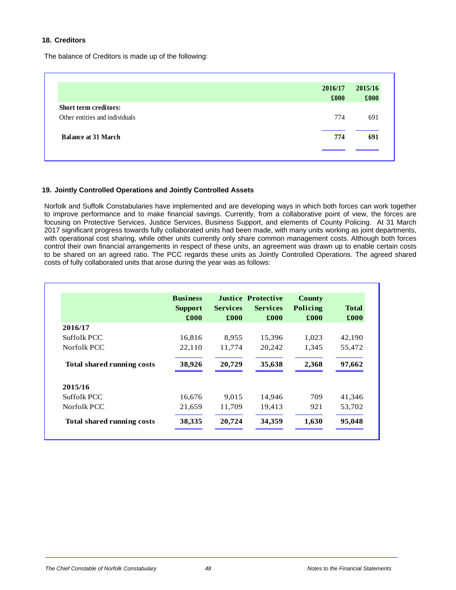#### **18. Creditors**

The balance of Creditors is made up of the following:

| 2016/17<br>£000 | 2015/16<br>£000 |
|-----------------|-----------------|
|                 |                 |
| 774             | 691             |
| 774             | 691             |
|                 |                 |

#### **19. Jointly Controlled Operations and Jointly Controlled Assets**

Norfolk and Suffolk Constabularies have implemented and are developing ways in which both forces can work together to improve performance and to make financial savings. Currently, from a collaborative point of view, the forces are focusing on Protective Services, Justice Services, Business Support, and elements of County Policing. At 31 March 2017 significant progress towards fully collaborated units had been made, with many units working as joint departments, with operational cost sharing, while other units currently only share common management costs. Although both forces control their own financial arrangements in respect of these units, an agreement was drawn up to enable certain costs to be shared on an agreed ratio. The PCC regards these units as Jointly Controlled Operations. The agreed shared costs of fully collaborated units that arose during the year was as follows:

|                                   | <b>Business</b><br><b>Support</b> | <b>Services</b> | <b>Justice Protective</b><br><b>Services</b> | County<br>Policing | Total  |
|-----------------------------------|-----------------------------------|-----------------|----------------------------------------------|--------------------|--------|
|                                   | £000                              | £000            | £000                                         | £000               | £000   |
| 2016/17                           |                                   |                 |                                              |                    |        |
| Suffolk PCC                       | 16,816                            | 8,955           | 15,396                                       | 1,023              | 42,190 |
| Norfolk PCC                       | 22,110                            | 11,774          | 20,242                                       | 1,345              | 55,472 |
| <b>Total shared running costs</b> | 38,926                            | 20,729          | 35,638                                       | 2,368              | 97,662 |
| 2015/16                           |                                   |                 |                                              |                    |        |
| Suffolk PCC                       | 16,676                            | 9,015           | 14,946                                       | 709                | 41,346 |
| Norfolk PCC                       | 21,659                            | 11,709          | 19,413                                       | 921                | 53,702 |
| <b>Total shared running costs</b> | 38,335                            | 20,724          | 34,359                                       | 1,630              | 95,048 |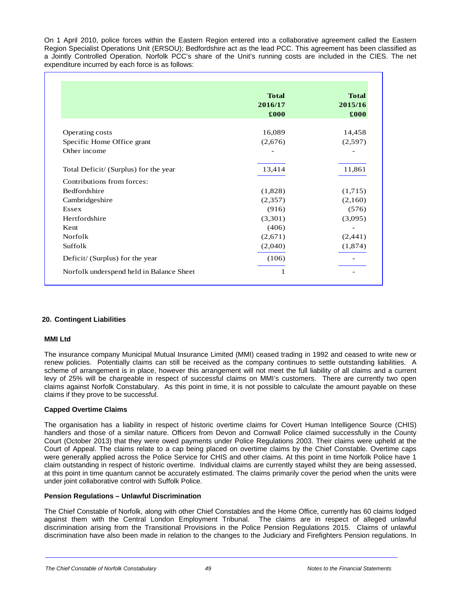On 1 April 2010, police forces within the Eastern Region entered into a collaborative agreement called the Eastern Region Specialist Operations Unit (ERSOU); Bedfordshire act as the lead PCC. This agreement has been classified as a Jointly Controlled Operation. Norfolk PCC's share of the Unit's running costs are included in the CIES. The net expenditure incurred by each force is as follows:

|                                          | <b>Total</b><br>2016/17<br>£000 | <b>Total</b><br>2015/16<br>£000 |
|------------------------------------------|---------------------------------|---------------------------------|
| Operating costs                          | 16,089                          | 14,458                          |
| Specific Home Office grant               | (2,676)                         | (2,597)                         |
| Other income                             |                                 |                                 |
| Total Deficit/ (Surplus) for the year    | 13,414                          | 11,861                          |
| Contributions from forces:               |                                 |                                 |
| <b>Bedfordshire</b>                      | (1,828)                         | (1,715)                         |
| Cambridgeshire                           | (2,357)                         | (2,160)                         |
| <b>Essex</b>                             | (916)                           | (576)                           |
| Hertfordshire                            | (3,301)                         | (3,095)                         |
| Kent                                     | (406)                           |                                 |
| <b>Norfolk</b>                           | (2,671)                         | (2,441)                         |
| Suffolk                                  | (2,040)                         | (1,874)                         |
| Deficit/ (Surplus) for the year          | (106)                           |                                 |
| Norfolk underspend held in Balance Sheet | 1                               |                                 |

#### **20. Contingent Liabilities**

#### **MMI Ltd**

The insurance company Municipal Mutual Insurance Limited (MMI) ceased trading in 1992 and ceased to write new or renew policies. Potentially claims can still be received as the company continues to settle outstanding liabilities. A scheme of arrangement is in place, however this arrangement will not meet the full liability of all claims and a current levy of 25% will be chargeable in respect of successful claims on MMI's customers. There are currently two open claims against Norfolk Constabulary. As this point in time, it is not possible to calculate the amount payable on these claims if they prove to be successful.

#### **Capped Overtime Claims**

The organisation has a liability in respect of historic overtime claims for Covert Human Intelligence Source (CHIS) handlers and those of a similar nature. Officers from Devon and Cornwall Police claimed successfully in the County Court (October 2013) that they were owed payments under Police Regulations 2003. Their claims were upheld at the Court of Appeal. The claims relate to a cap being placed on overtime claims by the Chief Constable. Overtime caps were generally applied across the Police Service for CHIS and other claims. At this point in time Norfolk Police have 1 claim outstanding in respect of historic overtime. Individual claims are currently stayed whilst they are being assessed, at this point in time quantum cannot be accurately estimated. The claims primarily cover the period when the units were under joint collaborative control with Suffolk Police.

#### **Pension Regulations – Unlawful Discrimination**

The Chief Constable of Norfolk, along with other Chief Constables and the Home Office, currently has 60 claims lodged against them with the Central London Employment Tribunal. The claims are in respect of alleged unlawful discrimination arising from the Transitional Provisions in the Police Pension Regulations 2015. Claims of unlawful discrimination have also been made in relation to the changes to the Judiciary and Firefighters Pension regulations. In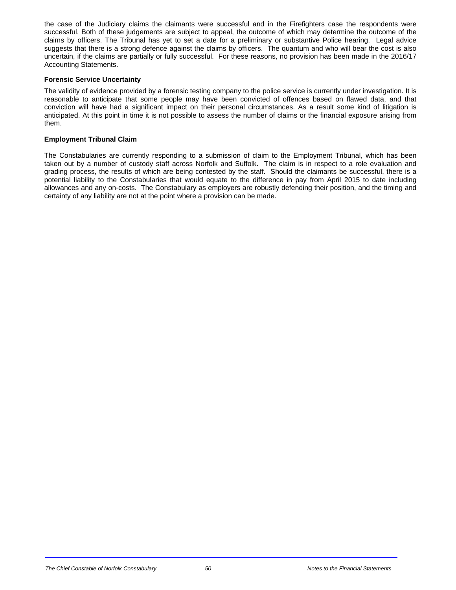the case of the Judiciary claims the claimants were successful and in the Firefighters case the respondents were successful. Both of these judgements are subject to appeal, the outcome of which may determine the outcome of the claims by officers. The Tribunal has yet to set a date for a preliminary or substantive Police hearing. Legal advice suggests that there is a strong defence against the claims by officers. The quantum and who will bear the cost is also uncertain, if the claims are partially or fully successful. For these reasons, no provision has been made in the 2016/17 Accounting Statements.

#### **Forensic Service Uncertainty**

The validity of evidence provided by a forensic testing company to the police service is currently under investigation. It is reasonable to anticipate that some people may have been convicted of offences based on flawed data, and that conviction will have had a significant impact on their personal circumstances. As a result some kind of litigation is anticipated. At this point in time it is not possible to assess the number of claims or the financial exposure arising from them.

#### **Employment Tribunal Claim**

The Constabularies are currently responding to a submission of claim to the Employment Tribunal, which has been taken out by a number of custody staff across Norfolk and Suffolk. The claim is in respect to a role evaluation and grading process, the results of which are being contested by the staff. Should the claimants be successful, there is a potential liability to the Constabularies that would equate to the difference in pay from April 2015 to date including allowances and any on-costs. The Constabulary as employers are robustly defending their position, and the timing and certainty of any liability are not at the point where a provision can be made.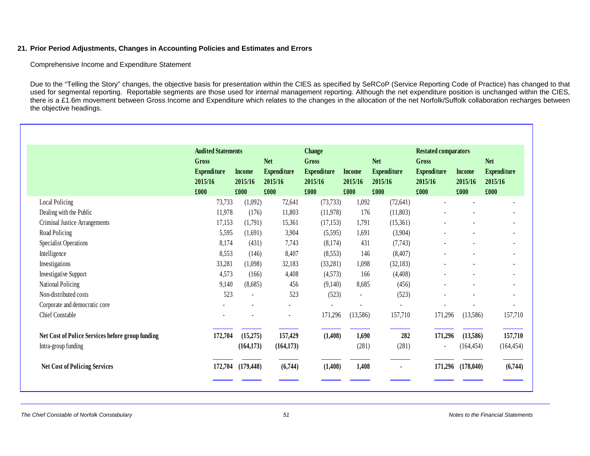#### **21. Prior Period Adjustments, Changes in Accounting Policies and Estimates and Errors**

Comprehensive Income and Expenditure Statement

Due to the "Telling the Story" changes, the objective basis for presentation within the CIES as specified by SeRCoP (Service Reporting Code of Practice) has changed to that used for segmental reporting. Reportable segments are those used for internal management reporting. Although the net expenditure position is unchanged within the CIES, there is a £1.6m movement between Gross Income and Expenditure which relates to the changes in the allocation of the net Norfolk/Suffolk collaboration recharges between the objective headings.

|                                                  | <b>Audited Statements</b><br>Gross |               | <b>Change</b><br><b>Net</b><br>Gross |                    | <b>Restated comparators</b> |                    |                    |               |                    |
|--------------------------------------------------|------------------------------------|---------------|--------------------------------------|--------------------|-----------------------------|--------------------|--------------------|---------------|--------------------|
|                                                  |                                    |               |                                      |                    | <b>Net</b>                  | Gross              |                    | <b>Net</b>    |                    |
|                                                  | <b>Expenditure</b>                 | <b>Income</b> | <b>Expenditure</b>                   | <b>Expenditure</b> | <b>Income</b>               | <b>Expenditure</b> | <b>Expenditure</b> | <b>Income</b> | <b>Expenditure</b> |
|                                                  | 2015/16                            | 2015/16       | 2015/16                              | 2015/16            | 2015/16                     | 2015/16            | 2015/16            | 2015/16       | 2015/16            |
|                                                  | £000                               | £000          | £000                                 | £000               | £000                        | £000               | £000               | £000          | £000               |
| Local Policing                                   | 73,733                             | (1,092)       | 72,641                               | (73, 733)          | 1,092                       | (72, 641)          |                    |               |                    |
| Dealing with the Public                          | 11,978                             | (176)         | 11,803                               | (11,978)           | 176                         | (11,803)           |                    |               |                    |
| Criminal Justice Arrangements                    | 17,153                             | (1,791)       | 15,361                               | (17, 153)          | 1,791                       | (15,361)           |                    |               |                    |
| Road Policing                                    | 5,595                              | (1,691)       | 3,904                                | (5,595)            | 1,691                       | (3,904)            |                    |               |                    |
| <b>Specialist Operations</b>                     | 8,174                              | (431)         | 7,743                                | (8,174)            | 431                         | (7, 743)           |                    |               |                    |
| Intelligence                                     | 8,553                              | (146)         | 8,407                                | (8,553)            | 146                         | (8,407)            |                    |               |                    |
| Investigations                                   | 33,281                             | (1,098)       | 32,183                               | (33,281)           | 1,098                       | (32, 183)          |                    |               |                    |
| <b>Investigative Support</b>                     | 4,573                              | (166)         | 4,408                                | (4,573)            | 166                         | (4,408)            |                    |               |                    |
| National Policing                                | 9,140                              | (8,685)       | 456                                  | (9,140)            | 8,685                       | (456)              |                    |               |                    |
| Non-distributed costs                            | 523                                |               | 523                                  | (523)              | $\blacksquare$              | (523)              |                    |               |                    |
| Corporate and democratic core                    |                                    |               |                                      |                    |                             |                    |                    |               |                    |
| Chief Constable                                  |                                    |               |                                      | 171,296            | (13,586)                    | 157,710            | 171,296            | (13,586)      | 157,710            |
| Net Cost of Police Services before group funding | 172,704                            | (15,275)      | 157,429                              | (1,408)            | 1,690                       | 282                | 171,296            | (13,586)      | 157,710            |
| Intra-group funding                              |                                    | (164, 173)    | (164, 173)                           |                    | (281)                       | (281)              |                    | (164, 454)    | (164, 454)         |
| <b>Net Cost of Policing Services</b>             | 172,704                            | (179, 448)    | (6,744)                              | (1,408)            | 1,408                       |                    | 171,296            | (178, 040)    | (6,744)            |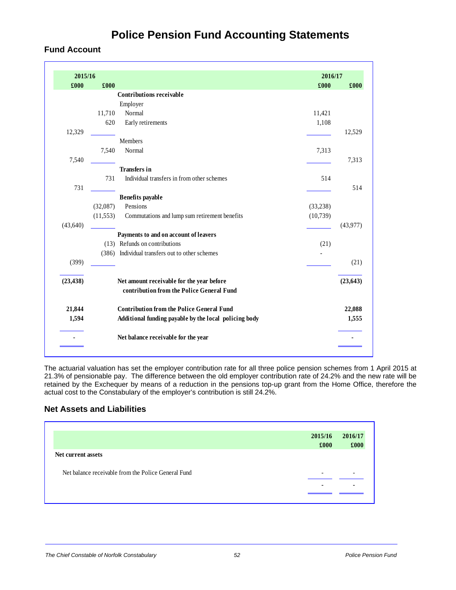## **Police Pension Fund Accounting Statements**

### **Fund Account**

| 2015/16   |           |                                                       | 2016/17  |           |
|-----------|-----------|-------------------------------------------------------|----------|-----------|
| £000      | £000      |                                                       | £000     | £000      |
|           |           | <b>Contributions receivable</b>                       |          |           |
|           |           | Employer                                              |          |           |
|           | 11,710    | Normal                                                | 11,421   |           |
|           | 620       | Early retirements                                     | 1,108    |           |
| 12,329    |           |                                                       |          | 12,529    |
|           |           | <b>Members</b>                                        |          |           |
|           | 7,540     | Normal                                                | 7,313    |           |
| 7,540     |           |                                                       |          | 7,313     |
|           |           | <b>Transfers</b> in                                   |          |           |
|           | 731       | Individual transfers in from other schemes            | 514      |           |
| 731       |           |                                                       |          | 514       |
|           |           | <b>Benefits</b> payable                               |          |           |
|           | (32,087)  | Pensions                                              | (33,238) |           |
|           | (11, 553) | Commutations and lump sum retirement benefits         | (10,739) |           |
| (43, 640) |           |                                                       |          | (43,977)  |
|           |           | Payments to and on account of leavers                 |          |           |
|           |           | (13) Refunds on contributions                         | (21)     |           |
|           |           | (386) Individual transfers out to other schemes       |          |           |
| (399)     |           |                                                       |          | (21)      |
| (23, 438) |           | Net amount receivable for the year before             |          | (23, 643) |
|           |           | contribution from the Police General Fund             |          |           |
| 21,844    |           | <b>Contribution from the Police General Fund</b>      |          | 22,088    |
| 1,594     |           | Additional funding payable by the local policing body |          | 1,555     |
|           |           | Net balance receivable for the year                   |          |           |

The actuarial valuation has set the employer contribution rate for all three police pension schemes from 1 April 2015 at 21.3% of pensionable pay. The difference between the old employer contribution rate of 24.2% and the new rate will be retained by the Exchequer by means of a reduction in the pensions top-up grant from the Home Office, therefore the actual cost to the Constabulary of the employer's contribution is still 24.2%.

### **Net Assets and Liabilities**

| 2015/16 | 2016/17                  |
|---------|--------------------------|
| £000    | £000                     |
|         |                          |
|         | $\overline{\phantom{a}}$ |
|         |                          |
|         |                          |
|         |                          |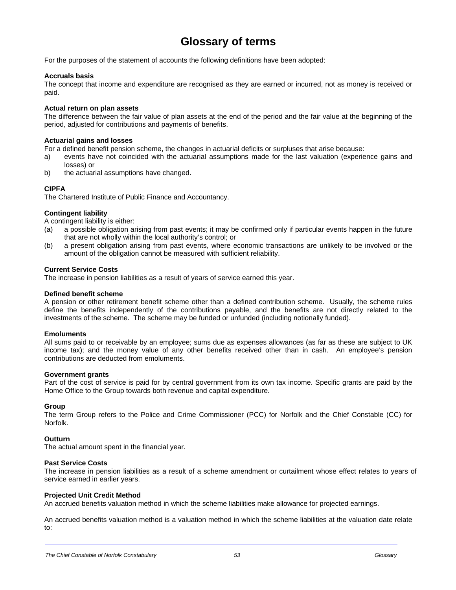### **Glossary of terms**

For the purposes of the statement of accounts the following definitions have been adopted:

#### **Accruals basis**

The concept that income and expenditure are recognised as they are earned or incurred, not as money is received or paid.

#### **Actual return on plan assets**

The difference between the fair value of plan assets at the end of the period and the fair value at the beginning of the period, adjusted for contributions and payments of benefits.

#### **Actuarial gains and losses**

For a defined benefit pension scheme, the changes in actuarial deficits or surpluses that arise because:

- a) events have not coincided with the actuarial assumptions made for the last valuation (experience gains and losses) or
- b) the actuarial assumptions have changed.

#### **CIPFA**

The Chartered Institute of Public Finance and Accountancy.

#### **Contingent liability**

A contingent liability is either:

- (a) a possible obligation arising from past events; it may be confirmed only if particular events happen in the future that are not wholly within the local authority's control; or
- (b) a present obligation arising from past events, where economic transactions are unlikely to be involved or the amount of the obligation cannot be measured with sufficient reliability.

#### **Current Service Costs**

The increase in pension liabilities as a result of years of service earned this year.

#### **Defined benefit scheme**

A pension or other retirement benefit scheme other than a defined contribution scheme. Usually, the scheme rules define the benefits independently of the contributions payable, and the benefits are not directly related to the investments of the scheme. The scheme may be funded or unfunded (including notionally funded).

#### **Emoluments**

All sums paid to or receivable by an employee; sums due as expenses allowances (as far as these are subject to UK income tax); and the money value of any other benefits received other than in cash. An employee's pension contributions are deducted from emoluments.

#### **Government grants**

Part of the cost of service is paid for by central government from its own tax income. Specific grants are paid by the Home Office to the Group towards both revenue and capital expenditure.

#### **Group**

The term Group refers to the Police and Crime Commissioner (PCC) for Norfolk and the Chief Constable (CC) for Norfolk.

#### **Outturn**

l,

The actual amount spent in the financial year.

#### **Past Service Costs**

The increase in pension liabilities as a result of a scheme amendment or curtailment whose effect relates to years of service earned in earlier years.

#### **Projected Unit Credit Method**

An accrued benefits valuation method in which the scheme liabilities make allowance for projected earnings.

An accrued benefits valuation method is a valuation method in which the scheme liabilities at the valuation date relate to: